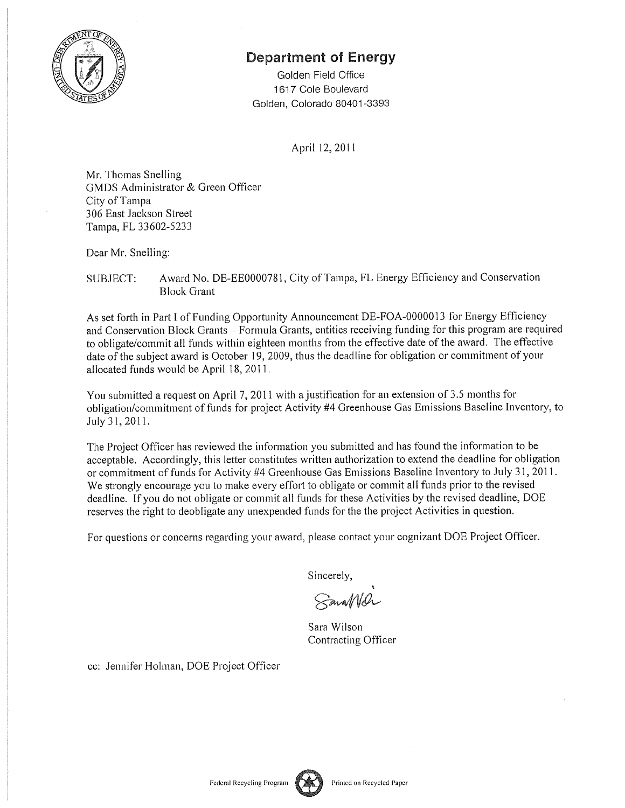

# **Department of Energy**

Golden Field Office 1617 Cole Boulevard Golden, Colorado 80401-3393

April 12, 2011

Mr. Thomas Snelling GMDS Administrator & Green Officer City of Tampa 306 East Jackson Street Tampa, FL 33602-5233

Dear Mr. Snelling:

Award No. DE-EE0000781, City of Tampa, FL Energy Efficiency and Conservation SUBJECT: **Block Grant** 

As set forth in Part I of Funding Opportunity Announcement DE-FOA-0000013 for Energy Efficiency and Conservation Block Grants - Formula Grants, entities receiving funding for this program are required to obligate/commit all funds within eighteen months from the effective date of the award. The effective date of the subject award is October 19, 2009, thus the deadline for obligation or commitment of your allocated funds would be April 18, 2011.

You submitted a request on April 7, 2011 with a justification for an extension of 3.5 months for obligation/commitment of funds for project Activity #4 Greenhouse Gas Emissions Baseline Inventory, to July 31, 2011.

The Project Officer has reviewed the information you submitted and has found the information to be acceptable. Accordingly, this letter constitutes written authorization to extend the deadline for obligation or commitment of funds for Activity #4 Greenhouse Gas Emissions Baseline Inventory to July 31, 2011. We strongly encourage you to make every effort to obligate or commit all funds prior to the revised deadline. If you do not obligate or commit all funds for these Activities by the revised deadline, DOE reserves the right to deobligate any unexpended funds for the the project Activities in question.

For questions or concerns regarding your award, please contact your cognizant DOE Project Officer.

Sincerely,

SanaMile

Sara Wilson Contracting Officer

cc: Jennifer Holman, DOE Project Officer

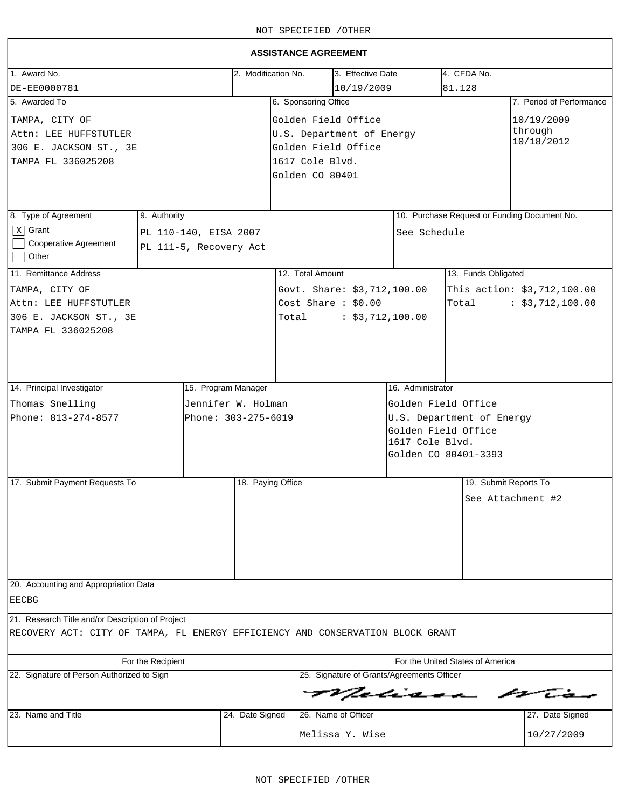#### **ASSISTANCE AGREEMENT**

| 1. Award No.                                                                   |                       |  | 2. Modification No.<br>3. Effective Date |                                  |                      |                                            | 4. CFDA No.          |                       |                     |                                              |
|--------------------------------------------------------------------------------|-----------------------|--|------------------------------------------|----------------------------------|----------------------|--------------------------------------------|----------------------|-----------------------|---------------------|----------------------------------------------|
| DE-EE0000781                                                                   |                       |  |                                          |                                  | 10/19/2009           |                                            |                      | 81.128                |                     |                                              |
| 5. Awarded To                                                                  |                       |  |                                          |                                  | 6. Sponsoring Office |                                            |                      |                       |                     | 7. Period of Performance                     |
| TAMPA, CITY OF                                                                 |                       |  |                                          |                                  |                      | Golden Field Office                        |                      |                       |                     | 10/19/2009                                   |
| Attn: LEE HUFFSTUTLER                                                          |                       |  |                                          |                                  |                      | U.S. Department of Energy                  |                      |                       |                     | through                                      |
| 306 E. JACKSON ST., 3E                                                         |                       |  |                                          |                                  |                      | Golden Field Office                        |                      |                       |                     | 10/18/2012                                   |
| TAMPA FL 336025208                                                             |                       |  |                                          |                                  | 1617 Cole Blvd.      |                                            |                      |                       |                     |                                              |
|                                                                                |                       |  |                                          |                                  | Golden CO 80401      |                                            |                      |                       |                     |                                              |
|                                                                                |                       |  |                                          |                                  |                      |                                            |                      |                       |                     |                                              |
| 8. Type of Agreement                                                           | 9. Authority          |  |                                          |                                  |                      |                                            |                      |                       |                     | 10. Purchase Request or Funding Document No. |
| $\boxed{\mathbf{X}}$ Grant                                                     | PL 110-140, EISA 2007 |  |                                          |                                  |                      |                                            | See Schedule         |                       |                     |                                              |
| Cooperative Agreement                                                          |                       |  | PL 111-5, Recovery Act                   |                                  |                      |                                            |                      |                       |                     |                                              |
| Other                                                                          |                       |  |                                          |                                  |                      |                                            |                      |                       |                     |                                              |
| 11. Remittance Address                                                         |                       |  |                                          |                                  | 12. Total Amount     |                                            |                      |                       | 13. Funds Obligated |                                              |
| TAMPA, CITY OF                                                                 |                       |  |                                          |                                  |                      | Govt. Share: \$3,712,100.00                |                      |                       |                     | This action: \$3,712,100.00                  |
| Attn: LEE HUFFSTUTLER                                                          |                       |  |                                          |                                  |                      | Cost Share: $$0.00$                        |                      |                       | Total               | $\frac{1}{2}$ \$3,712,100.00                 |
| 306 E. JACKSON ST., 3E                                                         |                       |  |                                          |                                  | Total                | $:$ \$3,712,100.00                         |                      |                       |                     |                                              |
| TAMPA FL 336025208                                                             |                       |  |                                          |                                  |                      |                                            |                      |                       |                     |                                              |
|                                                                                |                       |  |                                          |                                  |                      |                                            |                      |                       |                     |                                              |
|                                                                                |                       |  |                                          |                                  |                      |                                            |                      |                       |                     |                                              |
|                                                                                |                       |  |                                          |                                  |                      |                                            |                      |                       |                     |                                              |
| 14. Principal Investigator                                                     |                       |  | 15. Program Manager                      |                                  |                      |                                            | 16. Administrator    |                       |                     |                                              |
| Thomas Snelling                                                                |                       |  | Jennifer W. Holman                       |                                  |                      |                                            | Golden Field Office  |                       |                     |                                              |
| Phone: 813-274-8577                                                            |                       |  | Phone: 303-275-6019                      |                                  |                      | U.S. Department of Energy                  |                      |                       |                     |                                              |
|                                                                                |                       |  |                                          |                                  |                      | Golden Field Office                        |                      |                       |                     |                                              |
|                                                                                |                       |  |                                          |                                  |                      |                                            | 1617 Cole Blvd.      |                       |                     |                                              |
|                                                                                |                       |  |                                          |                                  |                      |                                            | Golden CO 80401-3393 |                       |                     |                                              |
|                                                                                |                       |  |                                          |                                  |                      |                                            |                      |                       |                     |                                              |
| 17. Submit Payment Requests To                                                 |                       |  |                                          | 18. Paying Office                |                      |                                            |                      | 19. Submit Reports To |                     |                                              |
|                                                                                |                       |  |                                          |                                  |                      |                                            |                      |                       |                     | See Attachment #2                            |
|                                                                                |                       |  |                                          |                                  |                      |                                            |                      |                       |                     |                                              |
|                                                                                |                       |  |                                          |                                  |                      |                                            |                      |                       |                     |                                              |
|                                                                                |                       |  |                                          |                                  |                      |                                            |                      |                       |                     |                                              |
|                                                                                |                       |  |                                          |                                  |                      |                                            |                      |                       |                     |                                              |
|                                                                                |                       |  |                                          |                                  |                      |                                            |                      |                       |                     |                                              |
| 20. Accounting and Appropriation Data                                          |                       |  |                                          |                                  |                      |                                            |                      |                       |                     |                                              |
| <b>EECBG</b>                                                                   |                       |  |                                          |                                  |                      |                                            |                      |                       |                     |                                              |
| 21. Research Title and/or Description of Project                               |                       |  |                                          |                                  |                      |                                            |                      |                       |                     |                                              |
| RECOVERY ACT: CITY OF TAMPA, FL ENERGY EFFICIENCY AND CONSERVATION BLOCK GRANT |                       |  |                                          |                                  |                      |                                            |                      |                       |                     |                                              |
|                                                                                |                       |  |                                          |                                  |                      |                                            |                      |                       |                     |                                              |
| For the Recipient                                                              |                       |  |                                          | For the United States of America |                      |                                            |                      |                       |                     |                                              |
| 22. Signature of Person Authorized to Sign                                     |                       |  |                                          |                                  |                      | 25. Signature of Grants/Agreements Officer |                      |                       |                     |                                              |
|                                                                                |                       |  |                                          |                                  |                      |                                            | recisso              |                       |                     | pr ta                                        |
|                                                                                |                       |  |                                          |                                  |                      |                                            |                      |                       |                     |                                              |
| 23. Name and Title                                                             |                       |  | 24. Date Signed                          |                                  | 26. Name of Officer  |                                            |                      |                       |                     | 27. Date Signed                              |
|                                                                                |                       |  |                                          |                                  |                      | Melissa Y. Wise                            |                      |                       |                     | 10/27/2009                                   |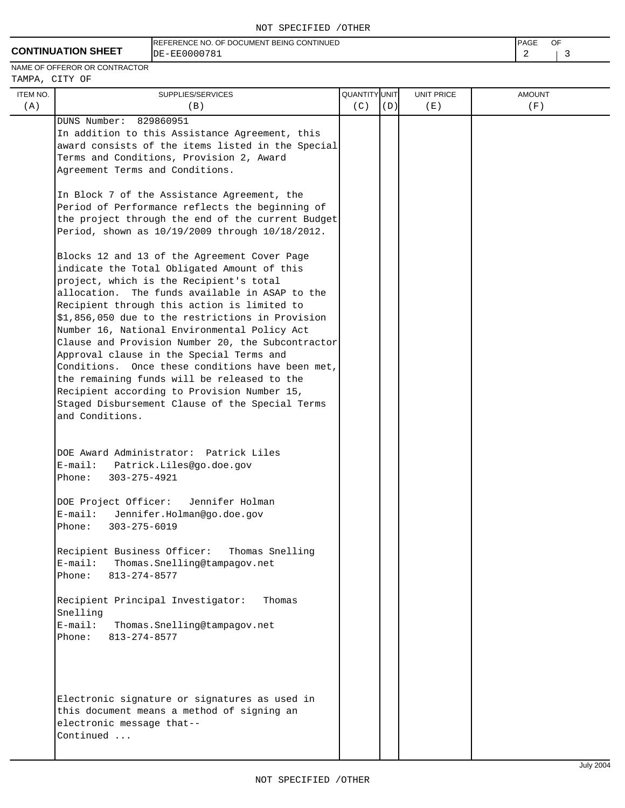#### NOT SPECIFIED /OTHER

REFERENCE NO. OF DOCUMENT BEING CONTINUED **Example 2008** PAGE OF

#### **CONTINUATION SHEET**

DE-EE0000781 2 3

NAME OF OFFEROR OR CONTRACTOR

TAMPA, CITY OF (A) ITEM NO. (B) SUPPLIES/SERVICES (C) QUANTITYUNIT  $(D)$ UNIT PRICE (E) AMOUNT (F) DUNS Number: 829860951 In addition to this Assistance Agreement, this award consists of the items listed in the Special Terms and Conditions, Provision 2, Award Agreement Terms and Conditions. In Block 7 of the Assistance Agreement, the Period of Performance reflects the beginning of the project through the end of the current Budget Period, shown as 10/19/2009 through 10/18/2012. Blocks 12 and 13 of the Agreement Cover Page indicate the Total Obligated Amount of this project, which is the Recipient's total allocation. The funds available in ASAP to the Recipient through this action is limited to \$1,856,050 due to the restrictions in Provision Number 16, National Environmental Policy Act Clause and Provision Number 20, the Subcontractor Approval clause in the Special Terms and Conditions. Once these conditions have been met, the remaining funds will be released to the Recipient according to Provision Number 15, Staged Disbursement Clause of the Special Terms and Conditions. DOE Award Administrator: Patrick Liles E-mail: Patrick.Liles@go.doe.gov Phone: 303-275-4921 DOE Project Officer: Jennifer Holman E-mail: Jennifer.Holman@go.doe.gov Phone: 303-275-6019 Recipient Business Officer: Thomas Snelling E-mail: Thomas.Snelling@tampagov.net Phone: 813-274-8577 Recipient Principal Investigator: Thomas Snelling E-mail: Thomas.Snelling@tampagov.net Phone: 813-274-8577 Electronic signature or signatures as used in this document means a method of signing an electronic message that-- Continued ...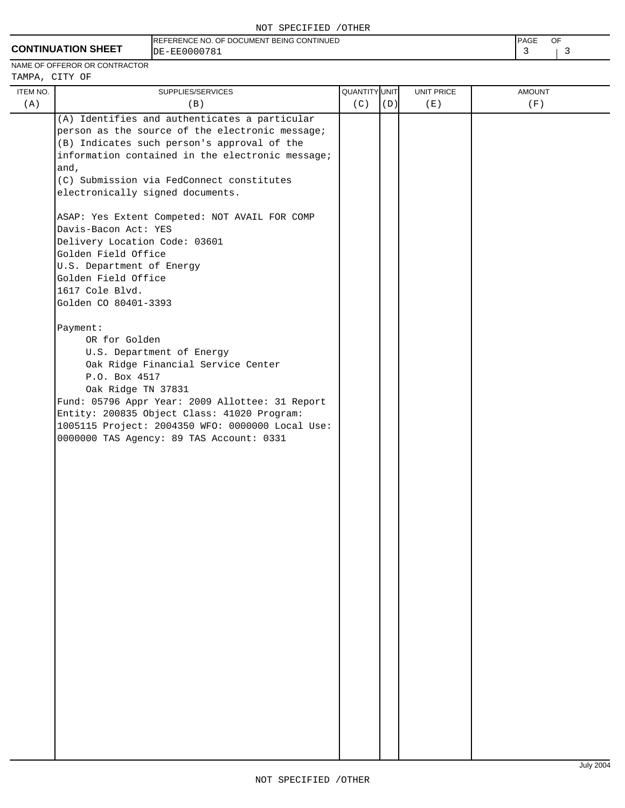#### NOT SPECIFIED /OTHER

#### **CONTINUATION SHEET**  REFERENCE NO. OF DOCUMENT BEING CONTINUED PAGE OF DE-EE0000781 3 3 3

NAME OF OFFEROR OR CONTRACTOR TAMPA, CITY OF

| ITEM NO. | SUPPLIES/SERVICES                                | QUANTITY UNIT |     | UNIT PRICE | AMOUNT |
|----------|--------------------------------------------------|---------------|-----|------------|--------|
| (A)      | (B)                                              | (C)           | (D) | (E)        | (F)    |
|          | (A) Identifies and authenticates a particular    |               |     |            |        |
|          | person as the source of the electronic message;  |               |     |            |        |
|          | (B) Indicates such person's approval of the      |               |     |            |        |
|          | information contained in the electronic message; |               |     |            |        |
|          | and,                                             |               |     |            |        |
|          | (C) Submission via FedConnect constitutes        |               |     |            |        |
|          | electronically signed documents.                 |               |     |            |        |
|          |                                                  |               |     |            |        |
|          | ASAP: Yes Extent Competed: NOT AVAIL FOR COMP    |               |     |            |        |
|          | Davis-Bacon Act: YES                             |               |     |            |        |
|          | Delivery Location Code: 03601                    |               |     |            |        |
|          | Golden Field Office                              |               |     |            |        |
|          | U.S. Department of Energy                        |               |     |            |        |
|          | Golden Field Office<br>1617 Cole Blvd.           |               |     |            |        |
|          | Golden CO 80401-3393                             |               |     |            |        |
|          |                                                  |               |     |            |        |
|          | Payment:                                         |               |     |            |        |
|          | OR for Golden                                    |               |     |            |        |
|          | U.S. Department of Energy                        |               |     |            |        |
|          | Oak Ridge Financial Service Center               |               |     |            |        |
|          | P.O. Box 4517                                    |               |     |            |        |
|          | Oak Ridge TN 37831                               |               |     |            |        |
|          | Fund: 05796 Appr Year: 2009 Allottee: 31 Report  |               |     |            |        |
|          | Entity: 200835 Object Class: 41020 Program:      |               |     |            |        |
|          | 1005115 Project: 2004350 WFO: 0000000 Local Use: |               |     |            |        |
|          | 0000000 TAS Agency: 89 TAS Account: 0331         |               |     |            |        |
|          |                                                  |               |     |            |        |
|          |                                                  |               |     |            |        |
|          |                                                  |               |     |            |        |
|          |                                                  |               |     |            |        |
|          |                                                  |               |     |            |        |
|          |                                                  |               |     |            |        |
|          |                                                  |               |     |            |        |
|          |                                                  |               |     |            |        |
|          |                                                  |               |     |            |        |
|          |                                                  |               |     |            |        |
|          |                                                  |               |     |            |        |
|          |                                                  |               |     |            |        |
|          |                                                  |               |     |            |        |
|          |                                                  |               |     |            |        |
|          |                                                  |               |     |            |        |
|          |                                                  |               |     |            |        |
|          |                                                  |               |     |            |        |
|          |                                                  |               |     |            |        |
|          |                                                  |               |     |            |        |
|          |                                                  |               |     |            |        |
|          |                                                  |               |     |            |        |
|          |                                                  |               |     |            |        |
|          |                                                  |               |     |            |        |
|          |                                                  |               |     |            |        |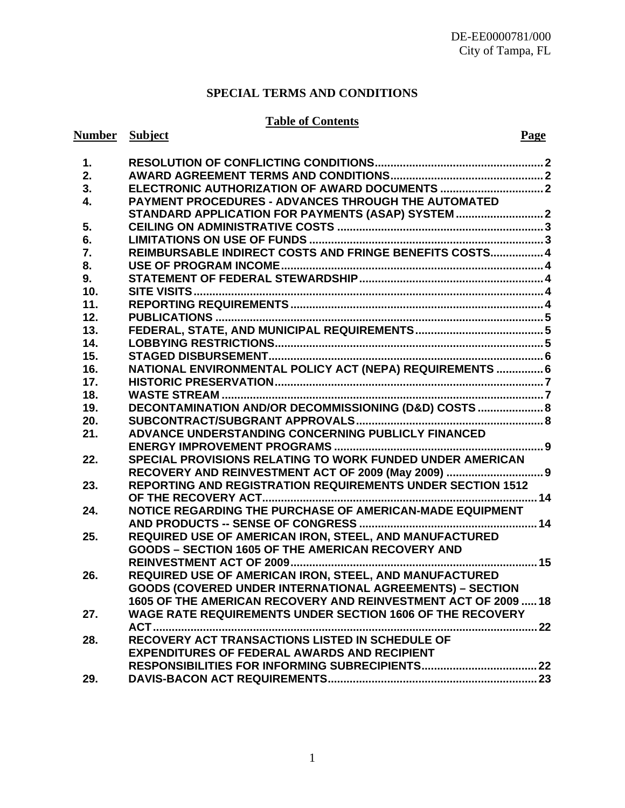# **SPECIAL TERMS AND CONDITIONS**

# **Table of Contents**

## **Number Subject** Page

| 1.           |                                                                   |
|--------------|-------------------------------------------------------------------|
| 2.           |                                                                   |
| 3.           |                                                                   |
| $\mathbf{4}$ | PAYMENT PROCEDURES - ADVANCES THROUGH THE AUTOMATED               |
|              | STANDARD APPLICATION FOR PAYMENTS (ASAP) SYSTEM                   |
| 5.           |                                                                   |
| 6.           |                                                                   |
| 7.           | REIMBURSABLE INDIRECT COSTS AND FRINGE BENEFITS COSTS 4           |
| 8.           |                                                                   |
| 9.           |                                                                   |
| 10.          |                                                                   |
| 11.          |                                                                   |
| 12.          |                                                                   |
| 13.          |                                                                   |
| 14.          |                                                                   |
| 15.          |                                                                   |
| 16.          | NATIONAL ENVIRONMENTAL POLICY ACT (NEPA) REQUIREMENTS  6          |
| 17.          |                                                                   |
| 18.          |                                                                   |
| 19.          | DECONTAMINATION AND/OR DECOMMISSIONING (D&D) COSTS  8             |
| 20.          |                                                                   |
| 21.          | ADVANCE UNDERSTANDING CONCERNING PUBLICLY FINANCED                |
|              |                                                                   |
| 22.          | SPECIAL PROVISIONS RELATING TO WORK FUNDED UNDER AMERICAN         |
|              | RECOVERY AND REINVESTMENT ACT OF 2009 (May 2009)  9               |
| 23.          | <b>REPORTING AND REGISTRATION REQUIREMENTS UNDER SECTION 1512</b> |
|              |                                                                   |
| 24.          | NOTICE REGARDING THE PURCHASE OF AMERICAN-MADE EQUIPMENT          |
|              |                                                                   |
| 25.          | REQUIRED USE OF AMERICAN IRON, STEEL, AND MANUFACTURED            |
|              | <b>GOODS - SECTION 1605 OF THE AMERICAN RECOVERY AND</b>          |
|              |                                                                   |
| 26.          | REQUIRED USE OF AMERICAN IRON, STEEL, AND MANUFACTURED            |
|              | <b>GOODS (COVERED UNDER INTERNATIONAL AGREEMENTS) - SECTION</b>   |
|              | 1605 OF THE AMERICAN RECOVERY AND REINVESTMENT ACT OF 2009  18    |
| 27.          | <b>WAGE RATE REQUIREMENTS UNDER SECTION 1606 OF THE RECOVERY</b>  |
|              |                                                                   |
| 28.          | RECOVERY ACT TRANSACTIONS LISTED IN SCHEDULE OF                   |
|              | <b>EXPENDITURES OF FEDERAL AWARDS AND RECIPIENT</b>               |
|              |                                                                   |
| 29.          |                                                                   |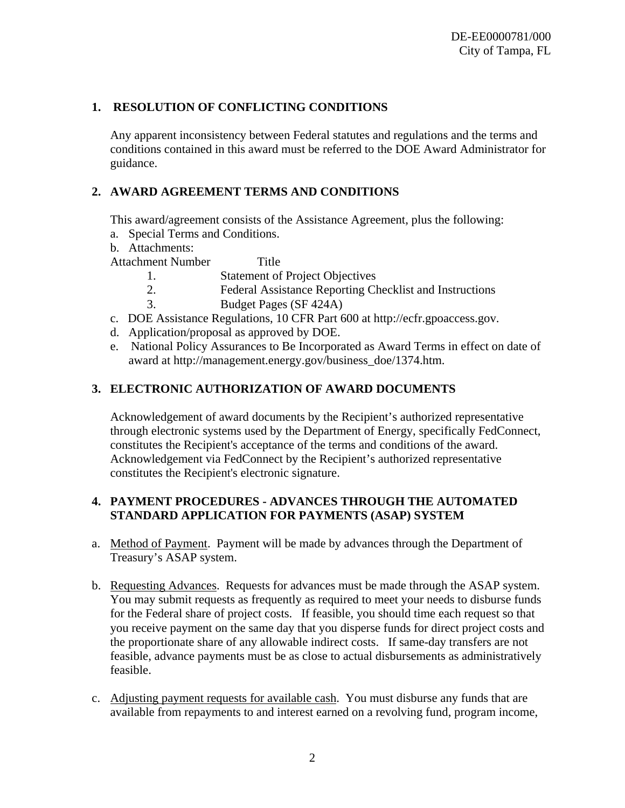#### <span id="page-5-0"></span>**1. RESOLUTION OF CONFLICTING CONDITIONS**

Any apparent inconsistency between Federal statutes and regulations and the terms and conditions contained in this award must be referred to the DOE Award Administrator for guidance.

### **2. AWARD AGREEMENT TERMS AND CONDITIONS**

This award/agreement consists of the Assistance Agreement, plus the following:

- a. Special Terms and Conditions.
- b. Attachments:

Attachment Number Title

- 1. Statement of Project Objectives
- 2. Federal Assistance Reporting Checklist and Instructions
- 3. Budget Pages (SF 424A)
- c. DOE Assistance Regulations, 10 CFR Part 600 at http://ecfr.gpoaccess.gov.
- d. Application/proposal as approved by DOE.
- e. National Policy Assurances to Be Incorporated as Award Terms in effect on date of award at http://management.energy.gov/business\_doe/1374.htm.

### **3. ELECTRONIC AUTHORIZATION OF AWARD DOCUMENTS**

Acknowledgement of award documents by the Recipient's authorized representative through electronic systems used by the Department of Energy, specifically FedConnect, constitutes the Recipient's acceptance of the terms and conditions of the award. Acknowledgement via FedConnect by the Recipient's authorized representative constitutes the Recipient's electronic signature.

### **4. PAYMENT PROCEDURES - ADVANCES THROUGH THE AUTOMATED STANDARD APPLICATION FOR PAYMENTS (ASAP) SYSTEM**

- a. Method of Payment. Payment will be made by advances through the Department of Treasury's ASAP system.
- b. Requesting Advances. Requests for advances must be made through the ASAP system. You may submit requests as frequently as required to meet your needs to disburse funds for the Federal share of project costs. If feasible, you should time each request so that you receive payment on the same day that you disperse funds for direct project costs and the proportionate share of any allowable indirect costs. If same-day transfers are not feasible, advance payments must be as close to actual disbursements as administratively feasible.
- c. Adjusting payment requests for available cash. You must disburse any funds that are available from repayments to and interest earned on a revolving fund, program income,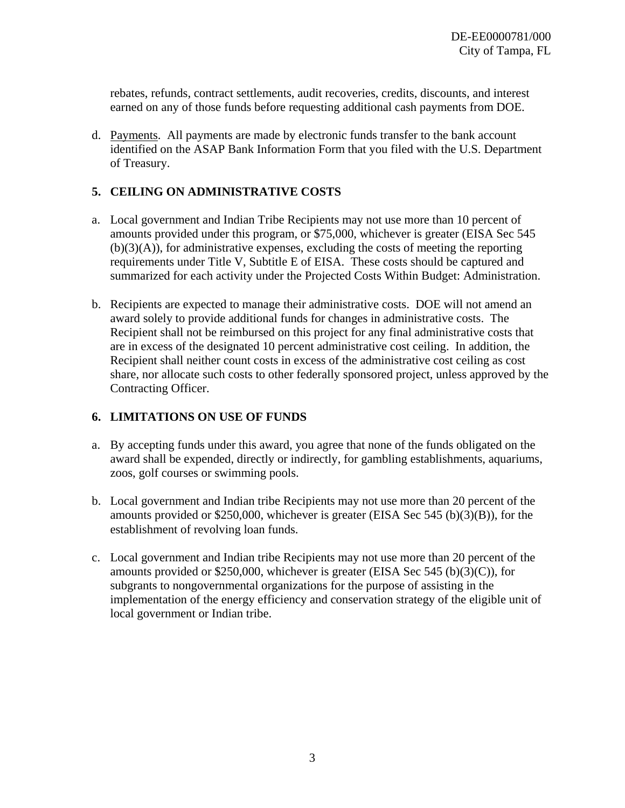<span id="page-6-0"></span>rebates, refunds, contract settlements, audit recoveries, credits, discounts, and interest earned on any of those funds before requesting additional cash payments from DOE.

d. Payments. All payments are made by electronic funds transfer to the bank account identified on the ASAP Bank Information Form that you filed with the U.S. Department of Treasury.

### **5. CEILING ON ADMINISTRATIVE COSTS**

- a. Local government and Indian Tribe Recipients may not use more than 10 percent of amounts provided under this program, or \$75,000, whichever is greater (EISA Sec 545  $(b)(3)(A)$ , for administrative expenses, excluding the costs of meeting the reporting requirements under Title V, Subtitle E of EISA. These costs should be captured and summarized for each activity under the Projected Costs Within Budget: Administration.
- b. Recipients are expected to manage their administrative costs. DOE will not amend an award solely to provide additional funds for changes in administrative costs. The Recipient shall not be reimbursed on this project for any final administrative costs that are in excess of the designated 10 percent administrative cost ceiling. In addition, the Recipient shall neither count costs in excess of the administrative cost ceiling as cost share, nor allocate such costs to other federally sponsored project, unless approved by the Contracting Officer.

#### **6. LIMITATIONS ON USE OF FUNDS**

- a. By accepting funds under this award, you agree that none of the funds obligated on the award shall be expended, directly or indirectly, for gambling establishments, aquariums, zoos, golf courses or swimming pools.
- b. Local government and Indian tribe Recipients may not use more than 20 percent of the amounts provided or \$250,000, whichever is greater (EISA Sec 545 (b)(3)(B)), for the establishment of revolving loan funds.
- c. Local government and Indian tribe Recipients may not use more than 20 percent of the amounts provided or \$250,000, whichever is greater (EISA Sec 545 (b)(3)(C)), for subgrants to nongovernmental organizations for the purpose of assisting in the implementation of the energy efficiency and conservation strategy of the eligible unit of local government or Indian tribe.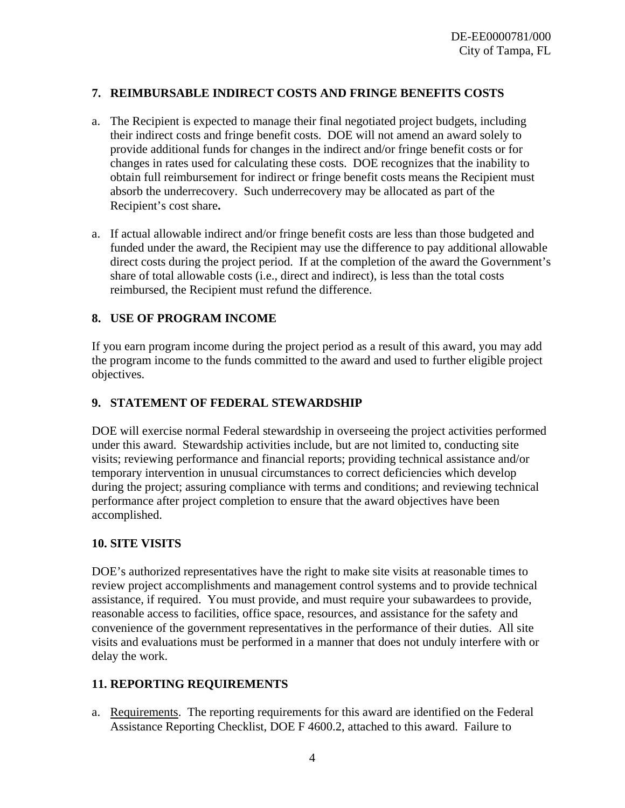### <span id="page-7-0"></span>**7. REIMBURSABLE INDIRECT COSTS AND FRINGE BENEFITS COSTS**

- a. The Recipient is expected to manage their final negotiated project budgets, including their indirect costs and fringe benefit costs. DOE will not amend an award solely to provide additional funds for changes in the indirect and/or fringe benefit costs or for changes in rates used for calculating these costs. DOE recognizes that the inability to obtain full reimbursement for indirect or fringe benefit costs means the Recipient must absorb the underrecovery. Such underrecovery may be allocated as part of the Recipient's cost share**.**
- a. If actual allowable indirect and/or fringe benefit costs are less than those budgeted and funded under the award, the Recipient may use the difference to pay additional allowable direct costs during the project period. If at the completion of the award the Government's share of total allowable costs (i.e., direct and indirect), is less than the total costs reimbursed, the Recipient must refund the difference.

### **8. USE OF PROGRAM INCOME**

If you earn program income during the project period as a result of this award, you may add the program income to the funds committed to the award and used to further eligible project objectives.

### **9. STATEMENT OF FEDERAL STEWARDSHIP**

DOE will exercise normal Federal stewardship in overseeing the project activities performed under this award. Stewardship activities include, but are not limited to, conducting site visits; reviewing performance and financial reports; providing technical assistance and/or temporary intervention in unusual circumstances to correct deficiencies which develop during the project; assuring compliance with terms and conditions; and reviewing technical performance after project completion to ensure that the award objectives have been accomplished.

#### **10. SITE VISITS**

DOE's authorized representatives have the right to make site visits at reasonable times to review project accomplishments and management control systems and to provide technical assistance, if required. You must provide, and must require your subawardees to provide, reasonable access to facilities, office space, resources, and assistance for the safety and convenience of the government representatives in the performance of their duties. All site visits and evaluations must be performed in a manner that does not unduly interfere with or delay the work.

### **11. REPORTING REQUIREMENTS**

a. Requirements. The reporting requirements for this award are identified on the Federal Assistance Reporting Checklist, DOE F 4600.2, attached to this award. Failure to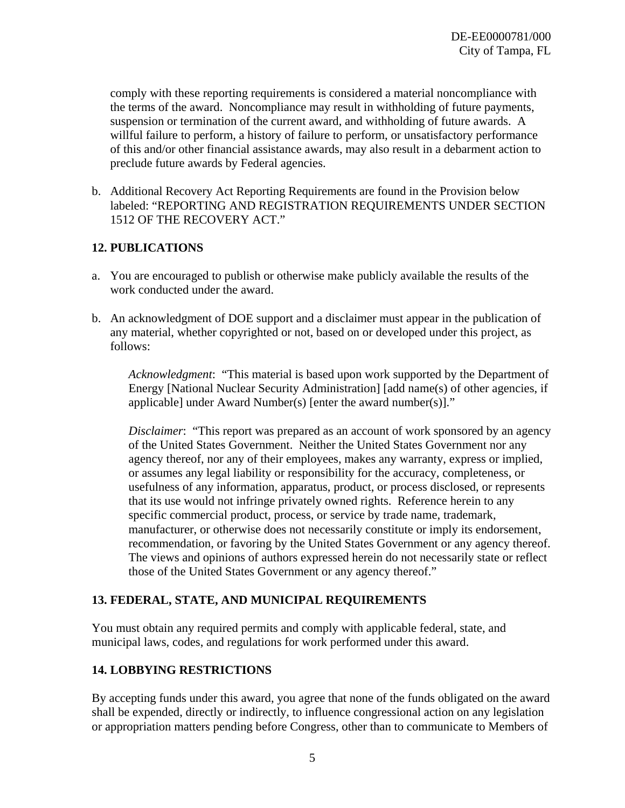<span id="page-8-0"></span>comply with these reporting requirements is considered a material noncompliance with the terms of the award. Noncompliance may result in withholding of future payments, suspension or termination of the current award, and withholding of future awards. A willful failure to perform, a history of failure to perform, or unsatisfactory performance of this and/or other financial assistance awards, may also result in a debarment action to preclude future awards by Federal agencies.

b. Additional Recovery Act Reporting Requirements are found in the Provision below labeled: "REPORTING AND REGISTRATION REQUIREMENTS UNDER SECTION 1512 OF THE RECOVERY ACT."

#### **12. PUBLICATIONS**

- a. You are encouraged to publish or otherwise make publicly available the results of the work conducted under the award.
- b. An acknowledgment of DOE support and a disclaimer must appear in the publication of any material, whether copyrighted or not, based on or developed under this project, as follows:

*Acknowledgment*: "This material is based upon work supported by the Department of Energy [National Nuclear Security Administration] [add name(s) of other agencies, if applicable] under Award Number(s) [enter the award number(s)]."

*Disclaimer*: "This report was prepared as an account of work sponsored by an agency of the United States Government. Neither the United States Government nor any agency thereof, nor any of their employees, makes any warranty, express or implied, or assumes any legal liability or responsibility for the accuracy, completeness, or usefulness of any information, apparatus, product, or process disclosed, or represents that its use would not infringe privately owned rights. Reference herein to any specific commercial product, process, or service by trade name, trademark, manufacturer, or otherwise does not necessarily constitute or imply its endorsement, recommendation, or favoring by the United States Government or any agency thereof. The views and opinions of authors expressed herein do not necessarily state or reflect those of the United States Government or any agency thereof."

#### **13. FEDERAL, STATE, AND MUNICIPAL REQUIREMENTS**

You must obtain any required permits and comply with applicable federal, state, and municipal laws, codes, and regulations for work performed under this award.

#### **14. LOBBYING RESTRICTIONS**

By accepting funds under this award, you agree that none of the funds obligated on the award shall be expended, directly or indirectly, to influence congressional action on any legislation or appropriation matters pending before Congress, other than to communicate to Members of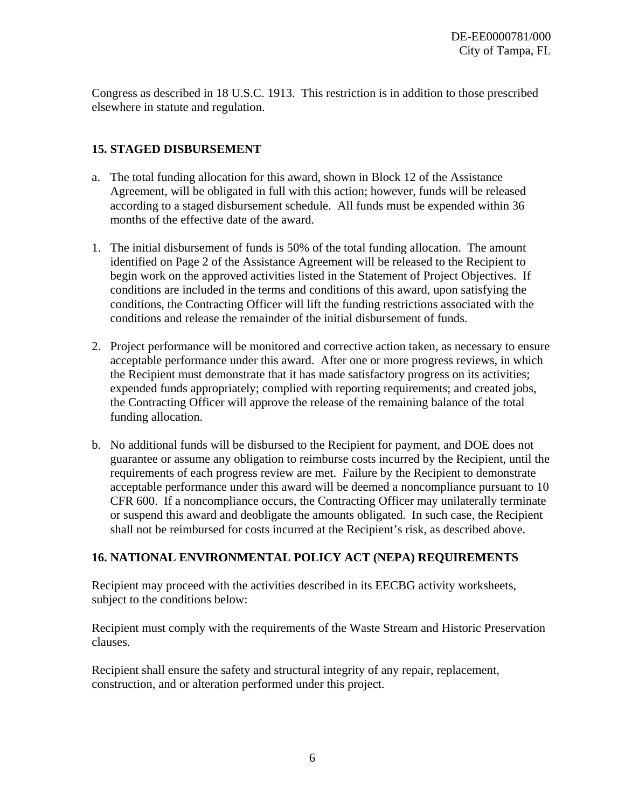<span id="page-9-0"></span>Congress as described in 18 U.S.C. 1913. This restriction is in addition to those prescribed elsewhere in statute and regulation.

### **15. STAGED DISBURSEMENT**

- a. The total funding allocation for this award, shown in Block 12 of the Assistance Agreement, will be obligated in full with this action; however, funds will be released according to a staged disbursement schedule. All funds must be expended within 36 months of the effective date of the award.
- 1. The initial disbursement of funds is 50% of the total funding allocation. The amount identified on Page 2 of the Assistance Agreement will be released to the Recipient to begin work on the approved activities listed in the Statement of Project Objectives. If conditions are included in the terms and conditions of this award, upon satisfying the conditions, the Contracting Officer will lift the funding restrictions associated with the conditions and release the remainder of the initial disbursement of funds.
- 2. Project performance will be monitored and corrective action taken, as necessary to ensure acceptable performance under this award. After one or more progress reviews, in which the Recipient must demonstrate that it has made satisfactory progress on its activities; expended funds appropriately; complied with reporting requirements; and created jobs, the Contracting Officer will approve the release of the remaining balance of the total funding allocation.
- b. No additional funds will be disbursed to the Recipient for payment, and DOE does not guarantee or assume any obligation to reimburse costs incurred by the Recipient, until the requirements of each progress review are met. Failure by the Recipient to demonstrate acceptable performance under this award will be deemed a noncompliance pursuant to 10 CFR 600. If a noncompliance occurs, the Contracting Officer may unilaterally terminate or suspend this award and deobligate the amounts obligated. In such case, the Recipient shall not be reimbursed for costs incurred at the Recipient's risk, as described above.

#### **16. NATIONAL ENVIRONMENTAL POLICY ACT (NEPA) REQUIREMENTS**

Recipient may proceed with the activities described in its EECBG activity worksheets, subject to the conditions below:

Recipient must comply with the requirements of the Waste Stream and Historic Preservation clauses.

Recipient shall ensure the safety and structural integrity of any repair, replacement, construction, and or alteration performed under this project.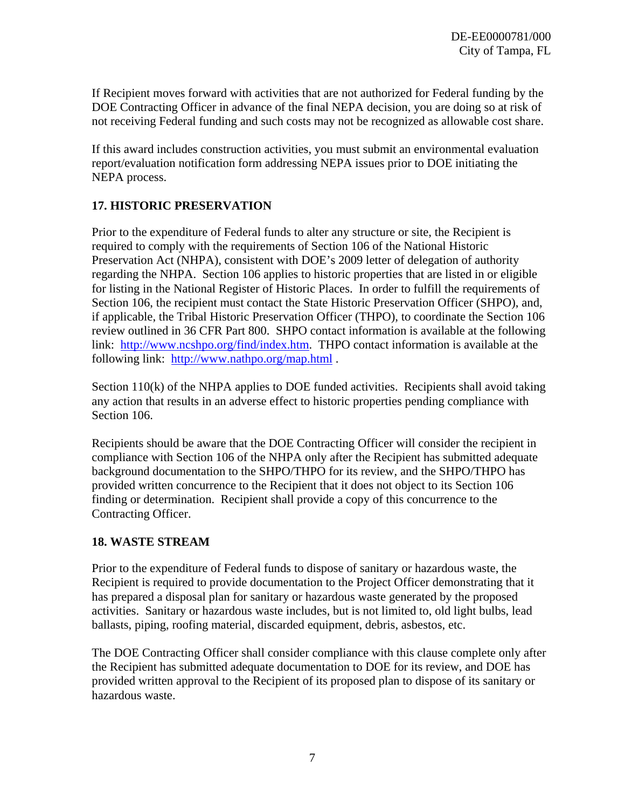<span id="page-10-0"></span>If Recipient moves forward with activities that are not authorized for Federal funding by the DOE Contracting Officer in advance of the final NEPA decision, you are doing so at risk of not receiving Federal funding and such costs may not be recognized as allowable cost share.

If this award includes construction activities, you must submit an environmental evaluation report/evaluation notification form addressing NEPA issues prior to DOE initiating the NEPA process.

### **17. HISTORIC PRESERVATION**

Prior to the expenditure of Federal funds to alter any structure or site, the Recipient is required to comply with the requirements of Section 106 of the National Historic Preservation Act (NHPA), consistent with DOE's 2009 letter of delegation of authority regarding the NHPA. Section 106 applies to historic properties that are listed in or eligible for listing in the National Register of Historic Places. In order to fulfill the requirements of Section 106, the recipient must contact the State Historic Preservation Officer (SHPO), and, if applicable, the Tribal Historic Preservation Officer (THPO), to coordinate the Section 106 review outlined in 36 CFR Part 800. SHPO contact information is available at the following link: http://www.ncshpo.org/find/index.htm. THPO contact information is available at the following link: http://www.nathpo.org/map.html .

Section 110(k) of the NHPA applies to DOE funded activities. Recipients shall avoid taking any action that results in an adverse effect to historic properties pending compliance with Section 106.

Recipients should be aware that the DOE Contracting Officer will consider the recipient in compliance with Section 106 of the NHPA only after the Recipient has submitted adequate background documentation to the SHPO/THPO for its review, and the SHPO/THPO has provided written concurrence to the Recipient that it does not object to its Section 106 finding or determination. Recipient shall provide a copy of this concurrence to the Contracting Officer.

#### **18. WASTE STREAM**

Prior to the expenditure of Federal funds to dispose of sanitary or hazardous waste, the Recipient is required to provide documentation to the Project Officer demonstrating that it has prepared a disposal plan for sanitary or hazardous waste generated by the proposed activities. Sanitary or hazardous waste includes, but is not limited to, old light bulbs, lead ballasts, piping, roofing material, discarded equipment, debris, asbestos, etc.

The DOE Contracting Officer shall consider compliance with this clause complete only after the Recipient has submitted adequate documentation to DOE for its review, and DOE has provided written approval to the Recipient of its proposed plan to dispose of its sanitary or hazardous waste.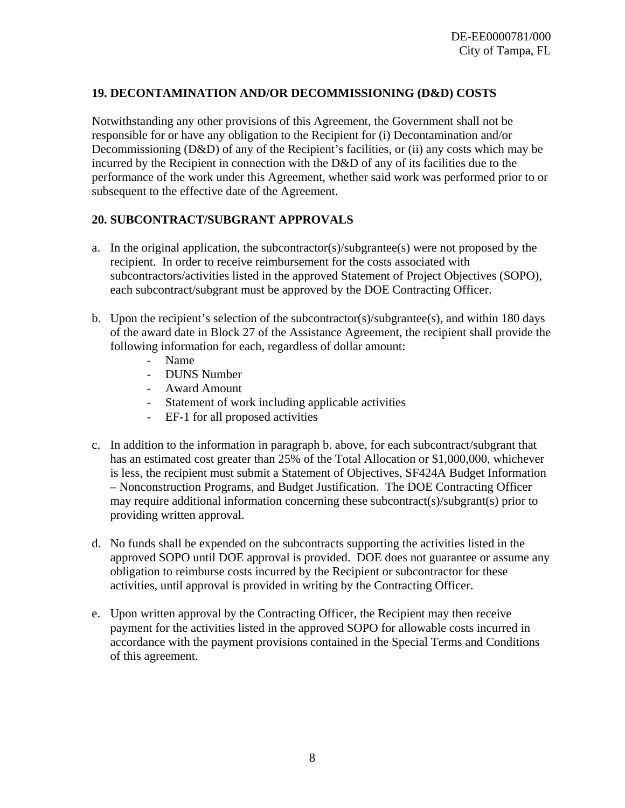### **19. DECONTAMINATION AND/OR DECOMMISSIONING (D&D) COSTS**

Notwithstanding any other provisions of this Agreement, the Government shall not be responsible for or have any obligation to the Recipient for (i) Decontamination and/or Decommissioning (D&D) of any of the Recipient's facilities, or (ii) any costs which may be incurred by the Recipient in connection with the D&D of any of its facilities due to the performance of the work under this Agreement, whether said work was performed prior to or subsequent to the effective date of the Agreement.

### **20. SUBCONTRACT/SUBGRANT APPROVALS**

- a. In the original application, the subcontractor(s)/subgrantee(s) were not proposed by the recipient. In order to receive reimbursement for the costs associated with subcontractors/activities listed in the approved Statement of Project Objectives (SOPO), each subcontract/subgrant must be approved by the DOE Contracting Officer.
- b. Upon the recipient's selection of the subcontractor(s)/subgrantee(s), and within 180 days of the award date in Block 27 of the Assistance Agreement, the recipient shall provide the following information for each, regardless of dollar amount:
	- Name
	- DUNS Number
	- Award Amount
	- Statement of work including applicable activities
	- EF-1 for all proposed activities
- c. In addition to the information in paragraph b. above, for each subcontract/subgrant that has an estimated cost greater than 25% of the Total Allocation or \$1,000,000, whichever is less, the recipient must submit a Statement of Objectives, SF424A Budget Information – Nonconstruction Programs, and Budget Justification. The DOE Contracting Officer may require additional information concerning these subcontract(s)/subgrant(s) prior to providing written approval.
- activities, until approval is provided in writing by the Contracting Officer. d. No funds shall be expended on the subcontracts supporting the activities listed in the approved SOPO until DOE approval is provided. DOE does not guarantee or assume any obligation to reimburse costs incurred by the Recipient or subcontractor for these
- e. Upon written approval by the Contracting Officer, the Recipient may then receive payment for the activities listed in the approved SOPO for allowable costs incurred in accordance with the payment provisions contained in the Special Terms and Conditions of this agreement.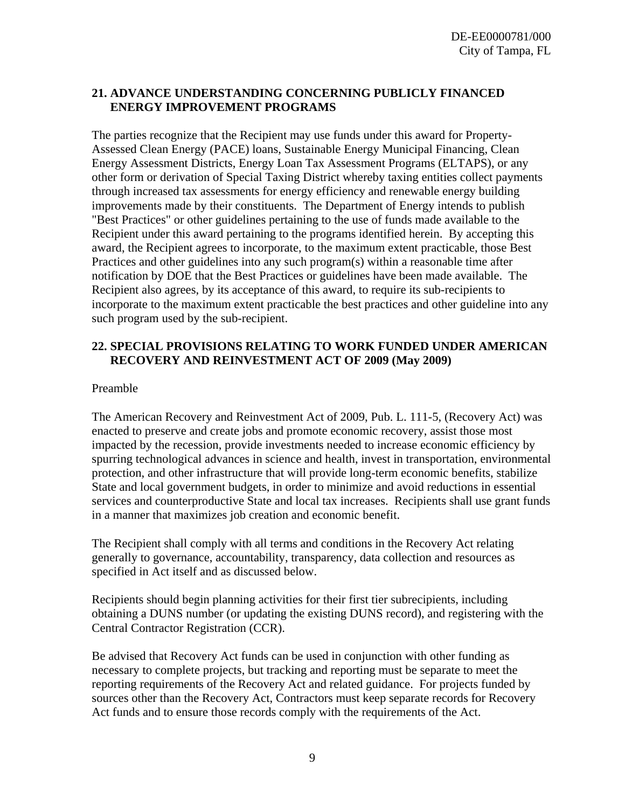#### <span id="page-12-0"></span>**21. ADVANCE UNDERSTANDING CONCERNING PUBLICLY FINANCED ENERGY IMPROVEMENT PROGRAMS**

The parties recognize that the Recipient may use funds under this award for Property-Assessed Clean Energy (PACE) loans, Sustainable Energy Municipal Financing, Clean Energy Assessment Districts, Energy Loan Tax Assessment Programs (ELTAPS), or any other form or derivation of Special Taxing District whereby taxing entities collect payments through increased tax assessments for energy efficiency and renewable energy building improvements made by their constituents. The Department of Energy intends to publish "Best Practices" or other guidelines pertaining to the use of funds made available to the Recipient under this award pertaining to the programs identified herein. By accepting this award, the Recipient agrees to incorporate, to the maximum extent practicable, those Best Practices and other guidelines into any such program(s) within a reasonable time after notification by DOE that the Best Practices or guidelines have been made available. The Recipient also agrees, by its acceptance of this award, to require its sub-recipients to incorporate to the maximum extent practicable the best practices and other guideline into any such program used by the sub-recipient.

#### **22. SPECIAL PROVISIONS RELATING TO WORK FUNDED UNDER AMERICAN RECOVERY AND REINVESTMENT ACT OF 2009 (May 2009)**

#### Preamble

The American Recovery and Reinvestment Act of 2009, Pub. L. 111-5, (Recovery Act) was enacted to preserve and create jobs and promote economic recovery, assist those most impacted by the recession, provide investments needed to increase economic efficiency by spurring technological advances in science and health, invest in transportation, environmental protection, and other infrastructure that will provide long-term economic benefits, stabilize State and local government budgets, in order to minimize and avoid reductions in essential services and counterproductive State and local tax increases. Recipients shall use grant funds in a manner that maximizes job creation and economic benefit.

The Recipient shall comply with all terms and conditions in the Recovery Act relating generally to governance, accountability, transparency, data collection and resources as specified in Act itself and as discussed below.

Recipients should begin planning activities for their first tier subrecipients, including obtaining a DUNS number (or updating the existing DUNS record), and registering with the Central Contractor Registration (CCR).

Be advised that Recovery Act funds can be used in conjunction with other funding as necessary to complete projects, but tracking and reporting must be separate to meet the reporting requirements of the Recovery Act and related guidance. For projects funded by sources other than the Recovery Act, Contractors must keep separate records for Recovery Act funds and to ensure those records comply with the requirements of the Act.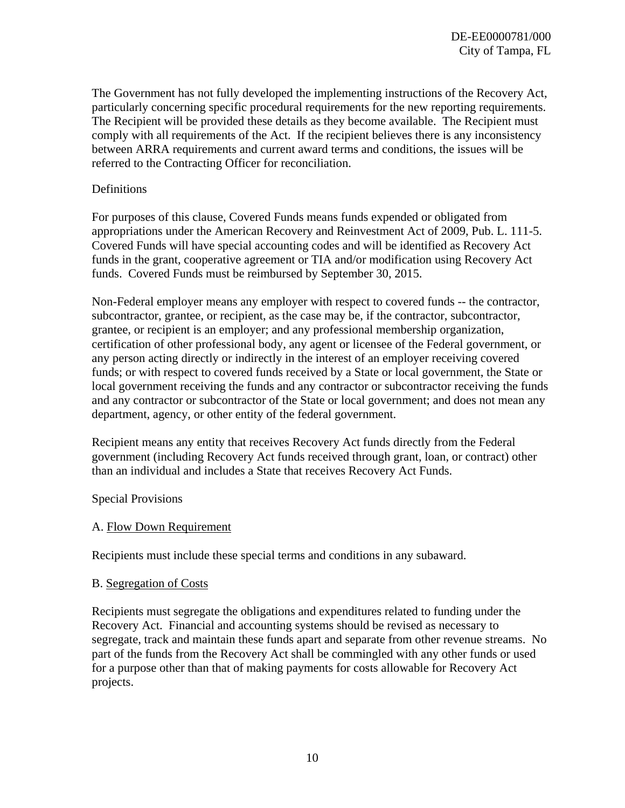The Government has not fully developed the implementing instructions of the Recovery Act, particularly concerning specific procedural requirements for the new reporting requirements. The Recipient will be provided these details as they become available. The Recipient must comply with all requirements of the Act. If the recipient believes there is any inconsistency between ARRA requirements and current award terms and conditions, the issues will be referred to the Contracting Officer for reconciliation.

#### Definitions

For purposes of this clause, Covered Funds means funds expended or obligated from appropriations under the American Recovery and Reinvestment Act of 2009, Pub. L. 111-5. Covered Funds will have special accounting codes and will be identified as Recovery Act funds in the grant, cooperative agreement or TIA and/or modification using Recovery Act funds. Covered Funds must be reimbursed by September 30, 2015.

Non-Federal employer means any employer with respect to covered funds -- the contractor, subcontractor, grantee, or recipient, as the case may be, if the contractor, subcontractor, grantee, or recipient is an employer; and any professional membership organization, certification of other professional body, any agent or licensee of the Federal government, or any person acting directly or indirectly in the interest of an employer receiving covered funds; or with respect to covered funds received by a State or local government, the State or local government receiving the funds and any contractor or subcontractor receiving the funds and any contractor or subcontractor of the State or local government; and does not mean any department, agency, or other entity of the federal government.

Recipient means any entity that receives Recovery Act funds directly from the Federal government (including Recovery Act funds received through grant, loan, or contract) other than an individual and includes a State that receives Recovery Act Funds.

#### Special Provisions

#### A. Flow Down Requirement

Recipients must include these special terms and conditions in any subaward.

#### **B.** Segregation of Costs

Recipients must segregate the obligations and expenditures related to funding under the Recovery Act. Financial and accounting systems should be revised as necessary to segregate, track and maintain these funds apart and separate from other revenue streams. No part of the funds from the Recovery Act shall be commingled with any other funds or used for a purpose other than that of making payments for costs allowable for Recovery Act projects.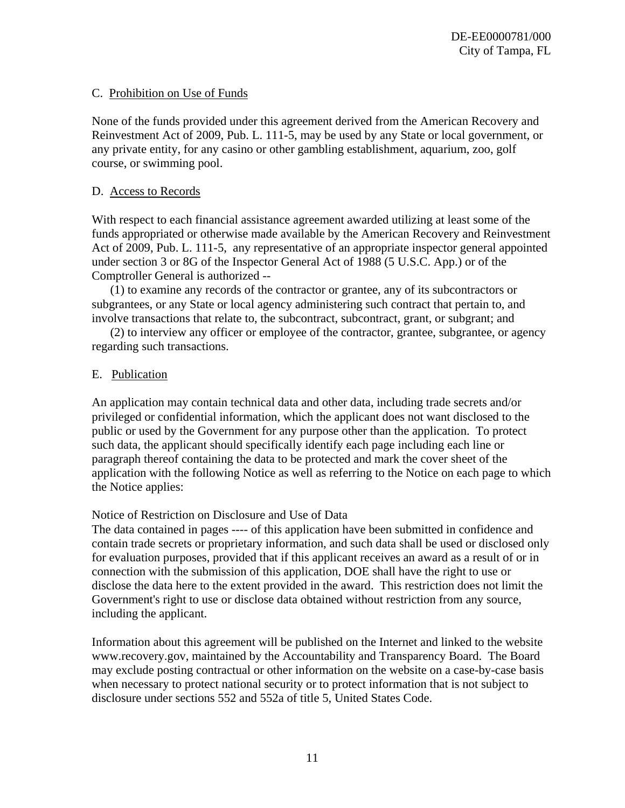#### C. Prohibition on Use of Funds

None of the funds provided under this agreement derived from the American Recovery and Reinvestment Act of 2009, Pub. L. 111-5, may be used by any State or local government, or any private entity, for any casino or other gambling establishment, aquarium, zoo, golf course, or swimming pool.

#### D. Access to Records

 Comptroller General is authorized -- With respect to each financial assistance agreement awarded utilizing at least some of the funds appropriated or otherwise made available by the American Recovery and Reinvestment Act of 2009, Pub. L. 111-5, any representative of an appropriate inspector general appointed under section 3 or 8G of the Inspector General Act of 1988 (5 U.S.C. App.) or of the

(1) to examine any records of the contractor or grantee, any of its subcontractors or subgrantees, or any State or local agency administering such contract that pertain to, and involve transactions that relate to, the subcontract, subcontract, grant, or subgrant; and

(2) to interview any officer or employee of the contractor, grantee, subgrantee, or agency regarding such transactions.

#### E. Publication

the Notice applies: An application may contain technical data and other data, including trade secrets and/or privileged or confidential information, which the applicant does not want disclosed to the public or used by the Government for any purpose other than the application. To protect such data, the applicant should specifically identify each page including each line or paragraph thereof containing the data to be protected and mark the cover sheet of the application with the following Notice as well as referring to the Notice on each page to which

#### Notice of Restriction on Disclosure and Use of Data

The data contained in pages ---- of this application have been submitted in confidence and contain trade secrets or proprietary information, and such data shall be used or disclosed only for evaluation purposes, provided that if this applicant receives an award as a result of or in connection with the submission of this application, DOE shall have the right to use or disclose the data here to the extent provided in the award. This restriction does not limit the Government's right to use or disclose data obtained without restriction from any source, including the applicant.

Information about this agreement will be published on the Internet and linked to the website www.recovery.gov, maintained by the Accountability and Transparency Board. The Board may exclude posting contractual or other information on the website on a case-by-case basis when necessary to protect national security or to protect information that is not subject to disclosure under sections 552 and 552a of title 5, United States Code.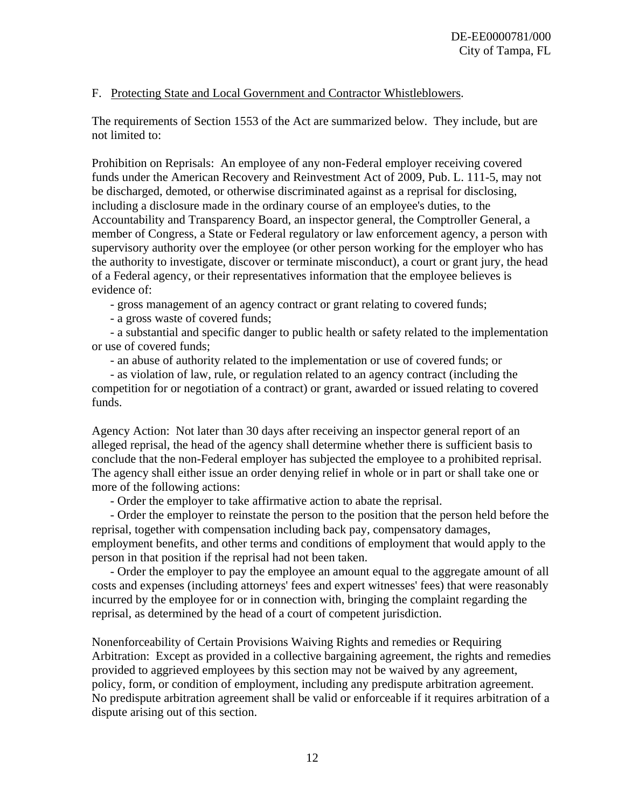#### F. Protecting State and Local Government and Contractor Whistleblowers.

The requirements of Section 1553 of the Act are summarized below. They include, but are not limited to:

Prohibition on Reprisals: An employee of any non-Federal employer receiving covered funds under the American Recovery and Reinvestment Act of 2009, Pub. L. 111-5, may not be discharged, demoted, or otherwise discriminated against as a reprisal for disclosing, including a disclosure made in the ordinary course of an employee's duties, to the Accountability and Transparency Board, an inspector general, the Comptroller General, a member of Congress, a State or Federal regulatory or law enforcement agency, a person with supervisory authority over the employee (or other person working for the employer who has the authority to investigate, discover or terminate misconduct), a court or grant jury, the head of a Federal agency, or their representatives information that the employee believes is evidence of:

- gross management of an agency contract or grant relating to covered funds;

- a gross waste of covered funds;

- a substantial and specific danger to public health or safety related to the implementation or use of covered funds;

- an abuse of authority related to the implementation or use of covered funds; or

- as violation of law, rule, or regulation related to an agency contract (including the competition for or negotiation of a contract) or grant, awarded or issued relating to covered funds.

Agency Action: Not later than 30 days after receiving an inspector general report of an alleged reprisal, the head of the agency shall determine whether there is sufficient basis to conclude that the non-Federal employer has subjected the employee to a prohibited reprisal. The agency shall either issue an order denying relief in whole or in part or shall take one or more of the following actions:

- Order the employer to take affirmative action to abate the reprisal.

- Order the employer to reinstate the person to the position that the person held before the reprisal, together with compensation including back pay, compensatory damages, employment benefits, and other terms and conditions of employment that would apply to the person in that position if the reprisal had not been taken.

- Order the employer to pay the employee an amount equal to the aggregate amount of all costs and expenses (including attorneys' fees and expert witnesses' fees) that were reasonably incurred by the employee for or in connection with, bringing the complaint regarding the reprisal, as determined by the head of a court of competent jurisdiction.

Nonenforceability of Certain Provisions Waiving Rights and remedies or Requiring Arbitration: Except as provided in a collective bargaining agreement, the rights and remedies provided to aggrieved employees by this section may not be waived by any agreement, policy, form, or condition of employment, including any predispute arbitration agreement. No predispute arbitration agreement shall be valid or enforceable if it requires arbitration of a dispute arising out of this section.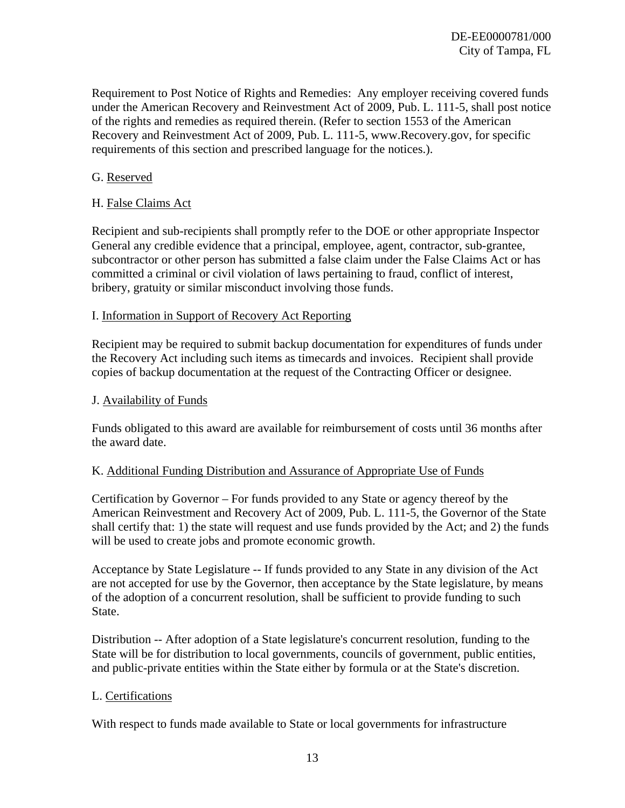Requirement to Post Notice of Rights and Remedies: Any employer receiving covered funds under the American Recovery and Reinvestment Act of 2009, Pub. L. 111-5, shall post notice of the rights and remedies as required therein. (Refer to section 1553 of the American Recovery and Reinvestment Act of 2009, Pub. L. 111-5, www.Recovery.gov, for specific requirements of this section and prescribed language for the notices.).

#### G. Reserved

#### H. False Claims Act

Recipient and sub-recipients shall promptly refer to the DOE or other appropriate Inspector General any credible evidence that a principal, employee, agent, contractor, sub-grantee, subcontractor or other person has submitted a false claim under the False Claims Act or has committed a criminal or civil violation of laws pertaining to fraud, conflict of interest, bribery, gratuity or similar misconduct involving those funds.

#### I. Information in Support of Recovery Act Reporting

Recipient may be required to submit backup documentation for expenditures of funds under the Recovery Act including such items as timecards and invoices. Recipient shall provide copies of backup documentation at the request of the Contracting Officer or designee.

#### J. Availability of Funds

Funds obligated to this award are available for reimbursement of costs until 36 months after the award date.

#### K. Additional Funding Distribution and Assurance of Appropriate Use of Funds

Certification by Governor – For funds provided to any State or agency thereof by the American Reinvestment and Recovery Act of 2009, Pub. L. 111-5, the Governor of the State shall certify that: 1) the state will request and use funds provided by the Act; and 2) the funds will be used to create jobs and promote economic growth.

Acceptance by State Legislature -- If funds provided to any State in any division of the Act are not accepted for use by the Governor, then acceptance by the State legislature, by means of the adoption of a concurrent resolution, shall be sufficient to provide funding to such State.

Distribution -- After adoption of a State legislature's concurrent resolution, funding to the State will be for distribution to local governments, councils of government, public entities, and public-private entities within the State either by formula or at the State's discretion.

#### L. Certifications

With respect to funds made available to State or local governments for infrastructure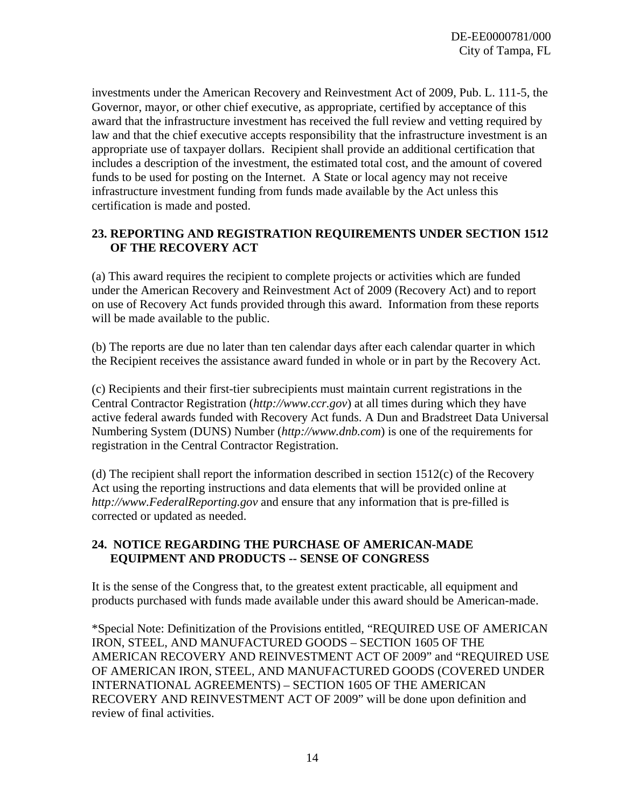<span id="page-17-0"></span>investments under the American Recovery and Reinvestment Act of 2009, Pub. L. 111-5, the Governor, mayor, or other chief executive, as appropriate, certified by acceptance of this award that the infrastructure investment has received the full review and vetting required by law and that the chief executive accepts responsibility that the infrastructure investment is an appropriate use of taxpayer dollars. Recipient shall provide an additional certification that includes a description of the investment, the estimated total cost, and the amount of covered funds to be used for posting on the Internet. A State or local agency may not receive infrastructure investment funding from funds made available by the Act unless this certification is made and posted.

#### **23. REPORTING AND REGISTRATION REQUIREMENTS UNDER SECTION 1512 OF THE RECOVERY ACT**

(a) This award requires the recipient to complete projects or activities which are funded under the American Recovery and Reinvestment Act of 2009 (Recovery Act) and to report on use of Recovery Act funds provided through this award. Information from these reports will be made available to the public.

(b) The reports are due no later than ten calendar days after each calendar quarter in which the Recipient receives the assistance award funded in whole or in part by the Recovery Act.

(c) Recipients and their first-tier subrecipients must maintain current registrations in the Central Contractor Registration (*http://www.ccr.gov*) at all times during which they have active federal awards funded with Recovery Act funds. A Dun and Bradstreet Data Universal Numbering System (DUNS) Number (*http://www.dnb.com*) is one of the requirements for registration in the Central Contractor Registration.

(d) The recipient shall report the information described in section 1512(c) of the Recovery Act using the reporting instructions and data elements that will be provided online at *http://www.FederalReporting.gov* and ensure that any information that is pre-filled is corrected or updated as needed.

#### **24. NOTICE REGARDING THE PURCHASE OF AMERICAN-MADE EQUIPMENT AND PRODUCTS -- SENSE OF CONGRESS**

It is the sense of the Congress that, to the greatest extent practicable, all equipment and products purchased with funds made available under this award should be American-made.

\*Special Note: Definitization of the Provisions entitled, "REQUIRED USE OF AMERICAN IRON, STEEL, AND MANUFACTURED GOODS – SECTION 1605 OF THE AMERICAN RECOVERY AND REINVESTMENT ACT OF 2009" and "REQUIRED USE OF AMERICAN IRON, STEEL, AND MANUFACTURED GOODS (COVERED UNDER INTERNATIONAL AGREEMENTS) – SECTION 1605 OF THE AMERICAN RECOVERY AND REINVESTMENT ACT OF 2009" will be done upon definition and review of final activities.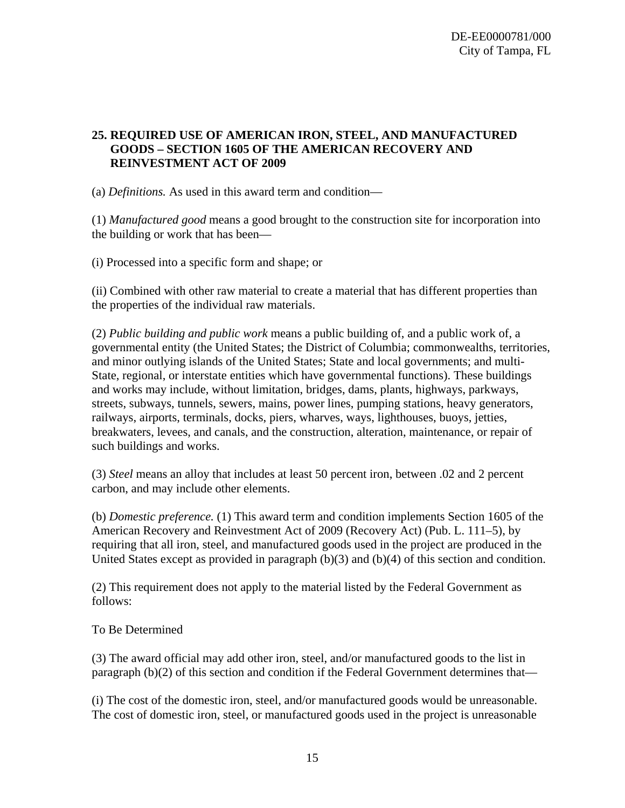#### <span id="page-18-0"></span>**25. REQUIRED USE OF AMERICAN IRON, STEEL, AND MANUFACTURED GOODS – SECTION 1605 OF THE AMERICAN RECOVERY AND REINVESTMENT ACT OF 2009**

(a) *Definitions.* As used in this award term and condition—

(1) *Manufactured good* means a good brought to the construction site for incorporation into the building or work that has been—

(i) Processed into a specific form and shape; or

(ii) Combined with other raw material to create a material that has different properties than the properties of the individual raw materials.

(2) *Public building and public work* means a public building of, and a public work of, a governmental entity (the United States; the District of Columbia; commonwealths, territories, and minor outlying islands of the United States; State and local governments; and multi-State, regional, or interstate entities which have governmental functions). These buildings and works may include, without limitation, bridges, dams, plants, highways, parkways, streets, subways, tunnels, sewers, mains, power lines, pumping stations, heavy generators, railways, airports, terminals, docks, piers, wharves, ways, lighthouses, buoys, jetties, breakwaters, levees, and canals, and the construction, alteration, maintenance, or repair of such buildings and works.

(3) *Steel* means an alloy that includes at least 50 percent iron, between .02 and 2 percent carbon, and may include other elements.

(b) *Domestic preference.* (1) This award term and condition implements Section 1605 of the American Recovery and Reinvestment Act of 2009 (Recovery Act) (Pub. L. 111–5), by requiring that all iron, steel, and manufactured goods used in the project are produced in the United States except as provided in paragraph  $(b)(3)$  and  $(b)(4)$  of this section and condition.

(2) This requirement does not apply to the material listed by the Federal Government as follows:

To Be Determined

(3) The award official may add other iron, steel, and/or manufactured goods to the list in paragraph (b)(2) of this section and condition if the Federal Government determines that—

(i) The cost of the domestic iron, steel, and/or manufactured goods would be unreasonable. The cost of domestic iron, steel, or manufactured goods used in the project is unreasonable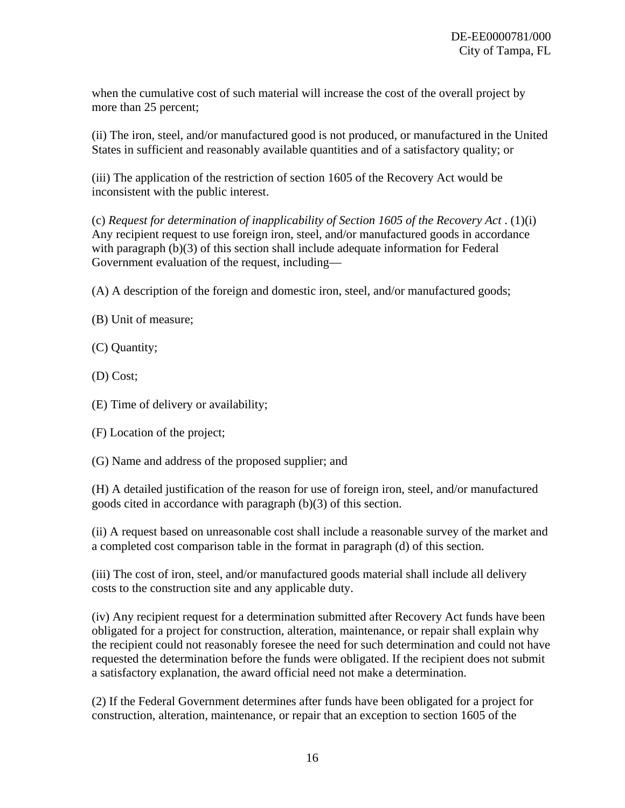when the cumulative cost of such material will increase the cost of the overall project by more than 25 percent;

(ii) The iron, steel, and/or manufactured good is not produced, or manufactured in the United States in sufficient and reasonably available quantities and of a satisfactory quality; or

(iii) The application of the restriction of section 1605 of the Recovery Act would be inconsistent with the public interest.

(c) *Request for determination of inapplicability of Section 1605 of the Recovery Act* . (1)(i) Any recipient request to use foreign iron, steel, and/or manufactured goods in accordance with paragraph (b)(3) of this section shall include adequate information for Federal Government evaluation of the request, including—

(A) A description of the foreign and domestic iron, steel, and/or manufactured goods;

(B) Unit of measure;

(C) Quantity;

(D) Cost;

(E) Time of delivery or availability;

(F) Location of the project;

(G) Name and address of the proposed supplier; and

(H) A detailed justification of the reason for use of foreign iron, steel, and/or manufactured goods cited in accordance with paragraph (b)(3) of this section.

(ii) A request based on unreasonable cost shall include a reasonable survey of the market and a completed cost comparison table in the format in paragraph (d) of this section.

(iii) The cost of iron, steel, and/or manufactured goods material shall include all delivery costs to the construction site and any applicable duty.

(iv) Any recipient request for a determination submitted after Recovery Act funds have been obligated for a project for construction, alteration, maintenance, or repair shall explain why the recipient could not reasonably foresee the need for such determination and could not have requested the determination before the funds were obligated. If the recipient does not submit a satisfactory explanation, the award official need not make a determination.

(2) If the Federal Government determines after funds have been obligated for a project for construction, alteration, maintenance, or repair that an exception to section 1605 of the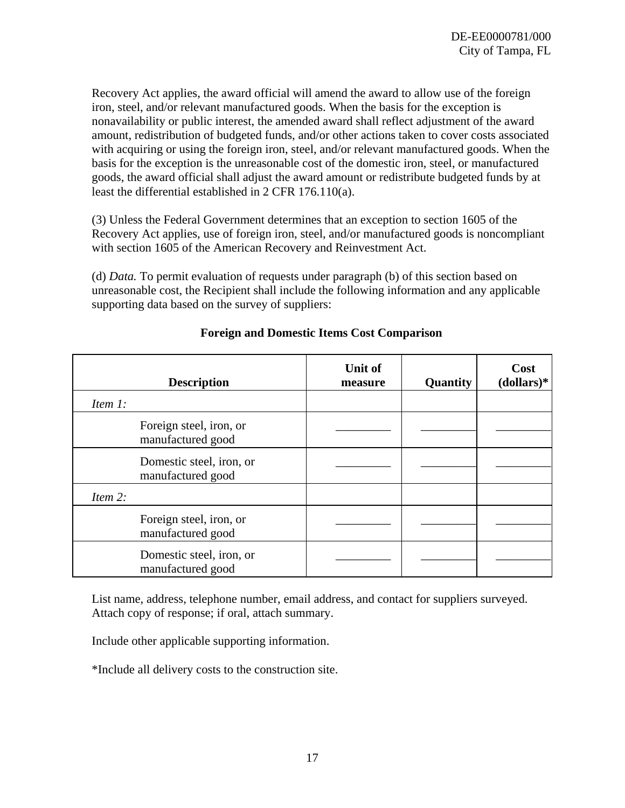Recovery Act applies, the award official will amend the award to allow use of the foreign iron, steel, and/or relevant manufactured goods. When the basis for the exception is nonavailability or public interest, the amended award shall reflect adjustment of the award amount, redistribution of budgeted funds, and/or other actions taken to cover costs associated with acquiring or using the foreign iron, steel, and/or relevant manufactured goods. When the basis for the exception is the unreasonable cost of the domestic iron, steel, or manufactured goods, the award official shall adjust the award amount or redistribute budgeted funds by at least the differential established in 2 CFR 176.110(a).

(3) Unless the Federal Government determines that an exception to section 1605 of the Recovery Act applies, use of foreign iron, steel, and/or manufactured goods is noncompliant with section 1605 of the American Recovery and Reinvestment Act.

(d) *Data.* To permit evaluation of requests under paragraph (b) of this section based on unreasonable cost, the Recipient shall include the following information and any applicable supporting data based on the survey of suppliers:

|         | <b>Description</b>                            | <b>Unit of</b><br>measure | Quantity | Cost<br>(dollars)* |
|---------|-----------------------------------------------|---------------------------|----------|--------------------|
| Item 1: |                                               |                           |          |                    |
|         | Foreign steel, iron, or<br>manufactured good  |                           |          |                    |
|         | Domestic steel, iron, or<br>manufactured good |                           |          |                    |
| Item 2: |                                               |                           |          |                    |
|         | Foreign steel, iron, or<br>manufactured good  |                           |          |                    |
|         | Domestic steel, iron, or<br>manufactured good |                           |          |                    |

### **Foreign and Domestic Items Cost Comparison**

List name, address, telephone number, email address, and contact for suppliers surveyed. Attach copy of response; if oral, attach summary.

Include other applicable supporting information.

\*Include all delivery costs to the construction site. Include other applicable supporting information.<br>\*Include all delivery costs to the construction site.<br>17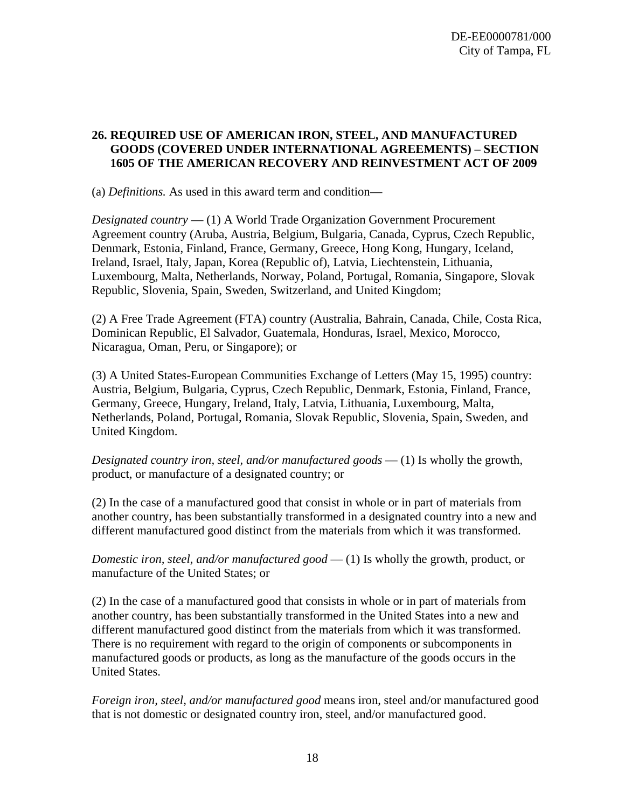#### <span id="page-21-0"></span>**26. REQUIRED USE OF AMERICAN IRON, STEEL, AND MANUFACTURED GOODS (COVERED UNDER INTERNATIONAL AGREEMENTS) – SECTION 1605 OF THE AMERICAN RECOVERY AND REINVESTMENT ACT OF 2009**

(a) *Definitions.* As used in this award term and condition—

*Designated country* — (1) A World Trade Organization Government Procurement Agreement country (Aruba, Austria, Belgium, Bulgaria, Canada, Cyprus, Czech Republic, Denmark, Estonia, Finland, France, Germany, Greece, Hong Kong, Hungary, Iceland, Ireland, Israel, Italy, Japan, Korea (Republic of), Latvia, Liechtenstein, Lithuania, Luxembourg, Malta, Netherlands, Norway, Poland, Portugal, Romania, Singapore, Slovak Republic, Slovenia, Spain, Sweden, Switzerland, and United Kingdom;

(2) A Free Trade Agreement (FTA) country (Australia, Bahrain, Canada, Chile, Costa Rica, Dominican Republic, El Salvador, Guatemala, Honduras, Israel, Mexico, Morocco, Nicaragua, Oman, Peru, or Singapore); or

(3) A United States-European Communities Exchange of Letters (May 15, 1995) country: Austria, Belgium, Bulgaria, Cyprus, Czech Republic, Denmark, Estonia, Finland, France, Germany, Greece, Hungary, Ireland, Italy, Latvia, Lithuania, Luxembourg, Malta, Netherlands, Poland, Portugal, Romania, Slovak Republic, Slovenia, Spain, Sweden, and United Kingdom.

*Designated country iron, steel, and/or manufactured goods* — (1) Is wholly the growth, product, or manufacture of a designated country; or

(2) In the case of a manufactured good that consist in whole or in part of materials from another country, has been substantially transformed in a designated country into a new and different manufactured good distinct from the materials from which it was transformed.

*Domestic iron, steel, and/or manufactured good* — (1) Is wholly the growth, product, or manufacture of the United States; or

(2) In the case of a manufactured good that consists in whole or in part of materials from another country, has been substantially transformed in the United States into a new and different manufactured good distinct from the materials from which it was transformed. There is no requirement with regard to the origin of components or subcomponents in manufactured goods or products, as long as the manufacture of the goods occurs in the United States.

*Foreign iron, steel, and/or manufactured good* means iron, steel and/or manufactured good that is not domestic or designated country iron, steel, and/or manufactured good.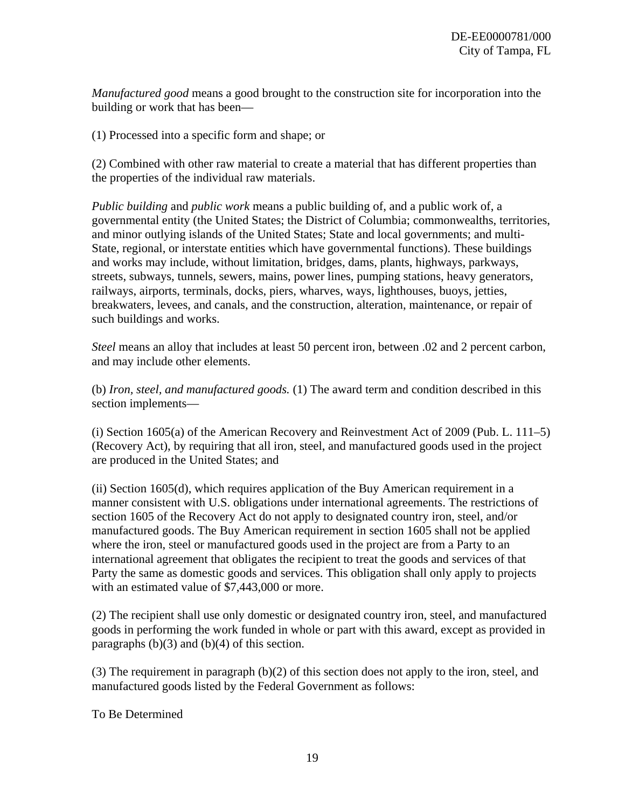*Manufactured good* means a good brought to the construction site for incorporation into the building or work that has been—

(1) Processed into a specific form and shape; or

(2) Combined with other raw material to create a material that has different properties than the properties of the individual raw materials.

*Public building* and *public work* means a public building of, and a public work of, a governmental entity (the United States; the District of Columbia; commonwealths, territories, and minor outlying islands of the United States; State and local governments; and multi-State, regional, or interstate entities which have governmental functions). These buildings and works may include, without limitation, bridges, dams, plants, highways, parkways, streets, subways, tunnels, sewers, mains, power lines, pumping stations, heavy generators, railways, airports, terminals, docks, piers, wharves, ways, lighthouses, buoys, jetties, breakwaters, levees, and canals, and the construction, alteration, maintenance, or repair of such buildings and works.

*Steel* means an alloy that includes at least 50 percent iron, between .02 and 2 percent carbon, and may include other elements.

(b) *Iron, steel, and manufactured goods.* (1) The award term and condition described in this section implements—

(i) Section 1605(a) of the American Recovery and Reinvestment Act of 2009 (Pub. L. 111–5) (Recovery Act), by requiring that all iron, steel, and manufactured goods used in the project are produced in the United States; and

(ii) Section 1605(d), which requires application of the Buy American requirement in a manner consistent with U.S. obligations under international agreements. The restrictions of section 1605 of the Recovery Act do not apply to designated country iron, steel, and/or manufactured goods. The Buy American requirement in section 1605 shall not be applied where the iron, steel or manufactured goods used in the project are from a Party to an international agreement that obligates the recipient to treat the goods and services of that Party the same as domestic goods and services. This obligation shall only apply to projects with an estimated value of \$7,443,000 or more.

(2) The recipient shall use only domestic or designated country iron, steel, and manufactured goods in performing the work funded in whole or part with this award, except as provided in paragraphs  $(b)(3)$  and  $(b)(4)$  of this section.

(3) The requirement in paragraph (b)(2) of this section does not apply to the iron, steel, and manufactured goods listed by the Federal Government as follows:

To Be Determined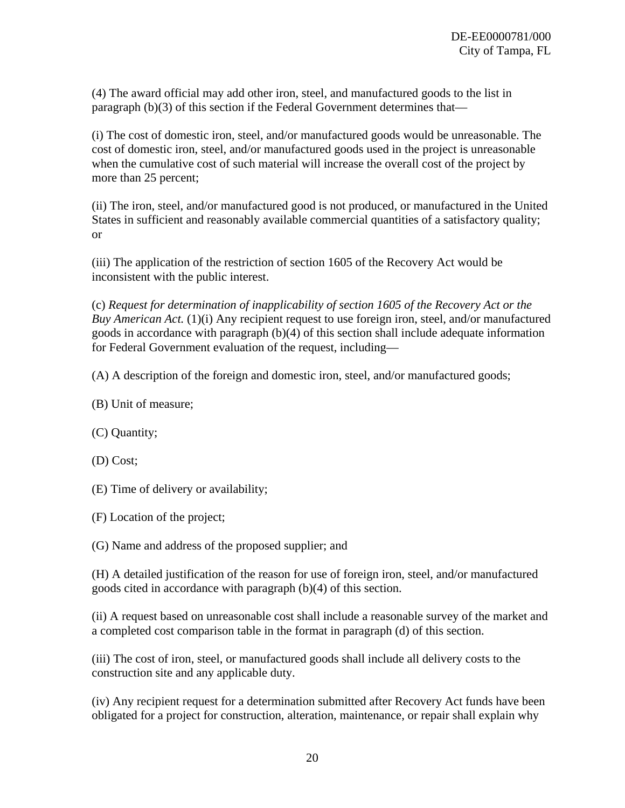(4) The award official may add other iron, steel, and manufactured goods to the list in paragraph (b)(3) of this section if the Federal Government determines that—

(i) The cost of domestic iron, steel, and/or manufactured goods would be unreasonable. The cost of domestic iron, steel, and/or manufactured goods used in the project is unreasonable when the cumulative cost of such material will increase the overall cost of the project by more than 25 percent;

(ii) The iron, steel, and/or manufactured good is not produced, or manufactured in the United States in sufficient and reasonably available commercial quantities of a satisfactory quality; or

(iii) The application of the restriction of section 1605 of the Recovery Act would be inconsistent with the public interest.

(c) *Request for determination of inapplicability of section 1605 of the Recovery Act or the Buy American Act.* (1)(i) Any recipient request to use foreign iron, steel, and/or manufactured goods in accordance with paragraph (b)(4) of this section shall include adequate information for Federal Government evaluation of the request, including—

(A) A description of the foreign and domestic iron, steel, and/or manufactured goods;

- (B) Unit of measure;
- (C) Quantity;
- (D) Cost;

(E) Time of delivery or availability;

(F) Location of the project;

(G) Name and address of the proposed supplier; and

(H) A detailed justification of the reason for use of foreign iron, steel, and/or manufactured goods cited in accordance with paragraph (b)(4) of this section.

(ii) A request based on unreasonable cost shall include a reasonable survey of the market and a completed cost comparison table in the format in paragraph (d) of this section.

(iii) The cost of iron, steel, or manufactured goods shall include all delivery costs to the construction site and any applicable duty.

(iv) Any recipient request for a determination submitted after Recovery Act funds have been obligated for a project for construction, alteration, maintenance, or repair shall explain why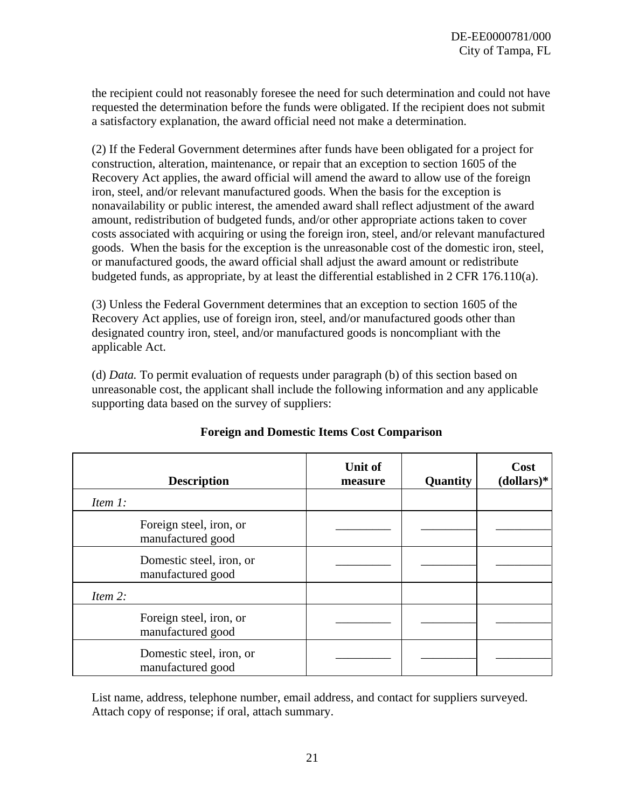the recipient could not reasonably foresee the need for such determination and could not have requested the determination before the funds were obligated. If the recipient does not submit a satisfactory explanation, the award official need not make a determination.

(2) If the Federal Government determines after funds have been obligated for a project for construction, alteration, maintenance, or repair that an exception to section 1605 of the Recovery Act applies, the award official will amend the award to allow use of the foreign iron, steel, and/or relevant manufactured goods. When the basis for the exception is nonavailability or public interest, the amended award shall reflect adjustment of the award amount, redistribution of budgeted funds, and/or other appropriate actions taken to cover costs associated with acquiring or using the foreign iron, steel, and/or relevant manufactured goods. When the basis for the exception is the unreasonable cost of the domestic iron, steel, or manufactured goods, the award official shall adjust the award amount or redistribute budgeted funds, as appropriate, by at least the differential established in 2 CFR 176.110(a).

(3) Unless the Federal Government determines that an exception to section 1605 of the Recovery Act applies, use of foreign iron, steel, and/or manufactured goods other than designated country iron, steel, and/or manufactured goods is noncompliant with the applicable Act.

(d) *Data.* To permit evaluation of requests under paragraph (b) of this section based on unreasonable cost, the applicant shall include the following information and any applicable supporting data based on the survey of suppliers:

|                | <b>Description</b>                            | <b>Unit of</b><br>measure | Quantity | Cost<br>$(dollars)*$ |
|----------------|-----------------------------------------------|---------------------------|----------|----------------------|
| <i>Item 1:</i> |                                               |                           |          |                      |
|                | Foreign steel, iron, or<br>manufactured good  |                           |          |                      |
|                | Domestic steel, iron, or<br>manufactured good |                           |          |                      |
| Item 2:        |                                               |                           |          |                      |
|                | Foreign steel, iron, or<br>manufactured good  |                           |          |                      |
|                | Domestic steel, iron, or<br>manufactured good |                           |          |                      |

### **Foreign and Domestic Items Cost Comparison**

List name, address, telephone number, email address, and contact for suppliers surveyed. Attach copy of response; if oral, attach summary.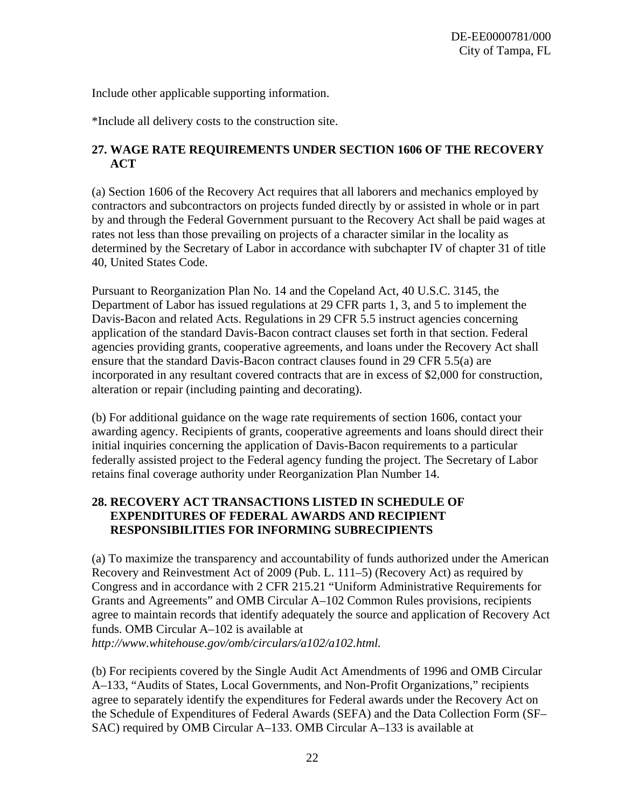<span id="page-25-0"></span>Include other applicable supporting information.

\*Include all delivery costs to the construction site.

#### **27. WAGE RATE REQUIREMENTS UNDER SECTION 1606 OF THE RECOVERY ACT**

(a) Section 1606 of the Recovery Act requires that all laborers and mechanics employed by contractors and subcontractors on projects funded directly by or assisted in whole or in part by and through the Federal Government pursuant to the Recovery Act shall be paid wages at rates not less than those prevailing on projects of a character similar in the locality as determined by the Secretary of Labor in accordance with subchapter IV of chapter 31 of title 40, United States Code.

Pursuant to Reorganization Plan No. 14 and the Copeland Act, 40 U.S.C. 3145, the Department of Labor has issued regulations at 29 CFR parts 1, 3, and 5 to implement the Davis-Bacon and related Acts. Regulations in 29 CFR 5.5 instruct agencies concerning application of the standard Davis-Bacon contract clauses set forth in that section. Federal agencies providing grants, cooperative agreements, and loans under the Recovery Act shall ensure that the standard Davis-Bacon contract clauses found in 29 CFR 5.5(a) are incorporated in any resultant covered contracts that are in excess of \$2,000 for construction, alteration or repair (including painting and decorating).

(b) For additional guidance on the wage rate requirements of section 1606, contact your awarding agency. Recipients of grants, cooperative agreements and loans should direct their initial inquiries concerning the application of Davis-Bacon requirements to a particular federally assisted project to the Federal agency funding the project. The Secretary of Labor retains final coverage authority under Reorganization Plan Number 14.

#### **28. RECOVERY ACT TRANSACTIONS LISTED IN SCHEDULE OF EXPENDITURES OF FEDERAL AWARDS AND RECIPIENT RESPONSIBILITIES FOR INFORMING SUBRECIPIENTS**

(a) To maximize the transparency and accountability of funds authorized under the American Recovery and Reinvestment Act of 2009 (Pub. L. 111–5) (Recovery Act) as required by Congress and in accordance with 2 CFR 215.21 "Uniform Administrative Requirements for Grants and Agreements" and OMB Circular A–102 Common Rules provisions, recipients agree to maintain records that identify adequately the source and application of Recovery Act funds. OMB Circular A–102 is available at *http://www.whitehouse.gov/omb/circulars/a102/a102.html.* 

(b) For recipients covered by the Single Audit Act Amendments of 1996 and OMB Circular A–133, "Audits of States, Local Governments, and Non-Profit Organizations," recipients agree to separately identify the expenditures for Federal awards under the Recovery Act on the Schedule of Expenditures of Federal Awards (SEFA) and the Data Collection Form (SF– SAC) required by OMB Circular A–133. OMB Circular A–133 is available at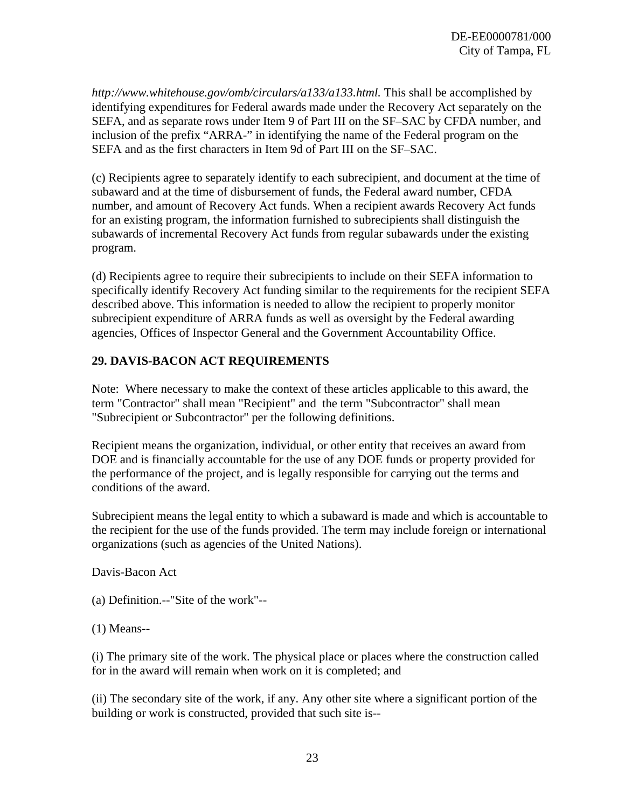<span id="page-26-0"></span>*http://www.whitehouse.gov/omb/circulars/a133/a133.html.* This shall be accomplished by identifying expenditures for Federal awards made under the Recovery Act separately on the SEFA, and as separate rows under Item 9 of Part III on the SF–SAC by CFDA number, and inclusion of the prefix "ARRA-" in identifying the name of the Federal program on the SEFA and as the first characters in Item 9d of Part III on the SF–SAC.

(c) Recipients agree to separately identify to each subrecipient, and document at the time of subaward and at the time of disbursement of funds, the Federal award number, CFDA number, and amount of Recovery Act funds. When a recipient awards Recovery Act funds for an existing program, the information furnished to subrecipients shall distinguish the subawards of incremental Recovery Act funds from regular subawards under the existing program.

(d) Recipients agree to require their subrecipients to include on their SEFA information to specifically identify Recovery Act funding similar to the requirements for the recipient SEFA described above. This information is needed to allow the recipient to properly monitor subrecipient expenditure of ARRA funds as well as oversight by the Federal awarding agencies, Offices of Inspector General and the Government Accountability Office.

### **29. DAVIS-BACON ACT REQUIREMENTS**

Note: Where necessary to make the context of these articles applicable to this award, the term "Contractor" shall mean "Recipient" and the term "Subcontractor" shall mean "Subrecipient or Subcontractor" per the following definitions.

Recipient means the organization, individual, or other entity that receives an award from DOE and is financially accountable for the use of any DOE funds or property provided for the performance of the project, and is legally responsible for carrying out the terms and conditions of the award.

Subrecipient means the legal entity to which a subaward is made and which is accountable to the recipient for the use of the funds provided. The term may include foreign or international organizations (such as agencies of the United Nations).

Davis-Bacon Act

(a) Definition.--"Site of the work"--

(1) Means--

(i) The primary site of the work. The physical place or places where the construction called for in the award will remain when work on it is completed; and

(ii) The secondary site of the work, if any. Any other site where a significant portion of the building or work is constructed, provided that such site is--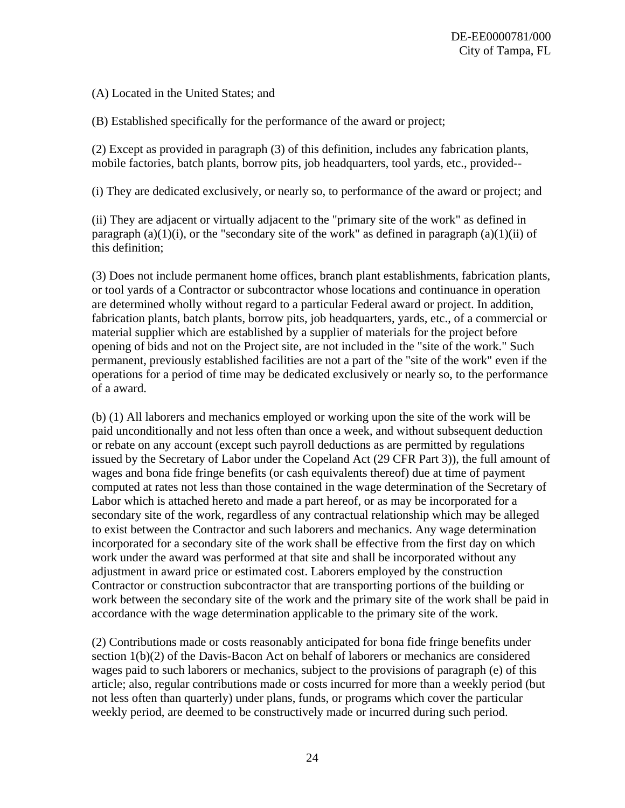(A) Located in the United States; and

(B) Established specifically for the performance of the award or project;

(2) Except as provided in paragraph (3) of this definition, includes any fabrication plants, mobile factories, batch plants, borrow pits, job headquarters, tool yards, etc., provided--

(i) They are dedicated exclusively, or nearly so, to performance of the award or project; and

(ii) They are adjacent or virtually adjacent to the "primary site of the work" as defined in paragraph (a)(1)(i), or the "secondary site of the work" as defined in paragraph (a)(1)(ii) of this definition;

(3) Does not include permanent home offices, branch plant establishments, fabrication plants, or tool yards of a Contractor or subcontractor whose locations and continuance in operation are determined wholly without regard to a particular Federal award or project. In addition, fabrication plants, batch plants, borrow pits, job headquarters, yards, etc., of a commercial or material supplier which are established by a supplier of materials for the project before opening of bids and not on the Project site, are not included in the "site of the work." Such permanent, previously established facilities are not a part of the "site of the work" even if the operations for a period of time may be dedicated exclusively or nearly so, to the performance of a award.

(b) (1) All laborers and mechanics employed or working upon the site of the work will be paid unconditionally and not less often than once a week, and without subsequent deduction or rebate on any account (except such payroll deductions as are permitted by regulations issued by the Secretary of Labor under the Copeland Act (29 CFR Part 3)), the full amount of wages and bona fide fringe benefits (or cash equivalents thereof) due at time of payment computed at rates not less than those contained in the wage determination of the Secretary of Labor which is attached hereto and made a part hereof, or as may be incorporated for a secondary site of the work, regardless of any contractual relationship which may be alleged to exist between the Contractor and such laborers and mechanics. Any wage determination incorporated for a secondary site of the work shall be effective from the first day on which work under the award was performed at that site and shall be incorporated without any adjustment in award price or estimated cost. Laborers employed by the construction Contractor or construction subcontractor that are transporting portions of the building or work between the secondary site of the work and the primary site of the work shall be paid in accordance with the wage determination applicable to the primary site of the work.

(2) Contributions made or costs reasonably anticipated for bona fide fringe benefits under section 1(b)(2) of the Davis-Bacon Act on behalf of laborers or mechanics are considered wages paid to such laborers or mechanics, subject to the provisions of paragraph (e) of this article; also, regular contributions made or costs incurred for more than a weekly period (but not less often than quarterly) under plans, funds, or programs which cover the particular weekly period, are deemed to be constructively made or incurred during such period.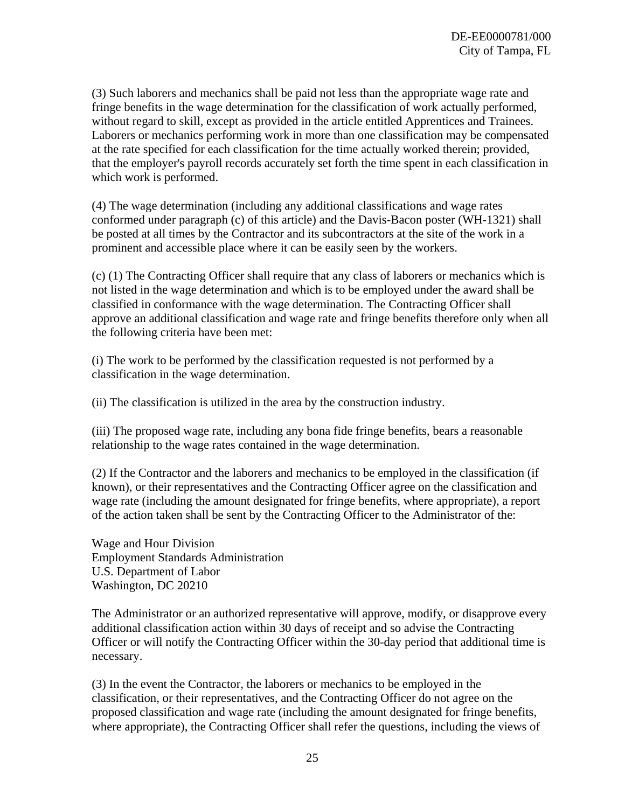(3) Such laborers and mechanics shall be paid not less than the appropriate wage rate and fringe benefits in the wage determination for the classification of work actually performed, without regard to skill, except as provided in the article entitled Apprentices and Trainees. Laborers or mechanics performing work in more than one classification may be compensated at the rate specified for each classification for the time actually worked therein; provided, that the employer's payroll records accurately set forth the time spent in each classification in which work is performed.

(4) The wage determination (including any additional classifications and wage rates conformed under paragraph (c) of this article) and the Davis-Bacon poster (WH-1321) shall be posted at all times by the Contractor and its subcontractors at the site of the work in a prominent and accessible place where it can be easily seen by the workers.

(c) (1) The Contracting Officer shall require that any class of laborers or mechanics which is not listed in the wage determination and which is to be employed under the award shall be classified in conformance with the wage determination. The Contracting Officer shall approve an additional classification and wage rate and fringe benefits therefore only when all the following criteria have been met:

(i) The work to be performed by the classification requested is not performed by a classification in the wage determination.

(ii) The classification is utilized in the area by the construction industry.

(iii) The proposed wage rate, including any bona fide fringe benefits, bears a reasonable relationship to the wage rates contained in the wage determination.

(2) If the Contractor and the laborers and mechanics to be employed in the classification (if known), or their representatives and the Contracting Officer agree on the classification and wage rate (including the amount designated for fringe benefits, where appropriate), a report of the action taken shall be sent by the Contracting Officer to the Administrator of the:

Wage and Hour Division Employment Standards Administration U.S. Department of Labor Washington, DC 20210

The Administrator or an authorized representative will approve, modify, or disapprove every additional classification action within 30 days of receipt and so advise the Contracting Officer or will notify the Contracting Officer within the 30-day period that additional time is necessary.

(3) In the event the Contractor, the laborers or mechanics to be employed in the classification, or their representatives, and the Contracting Officer do not agree on the proposed classification and wage rate (including the amount designated for fringe benefits, where appropriate), the Contracting Officer shall refer the questions, including the views of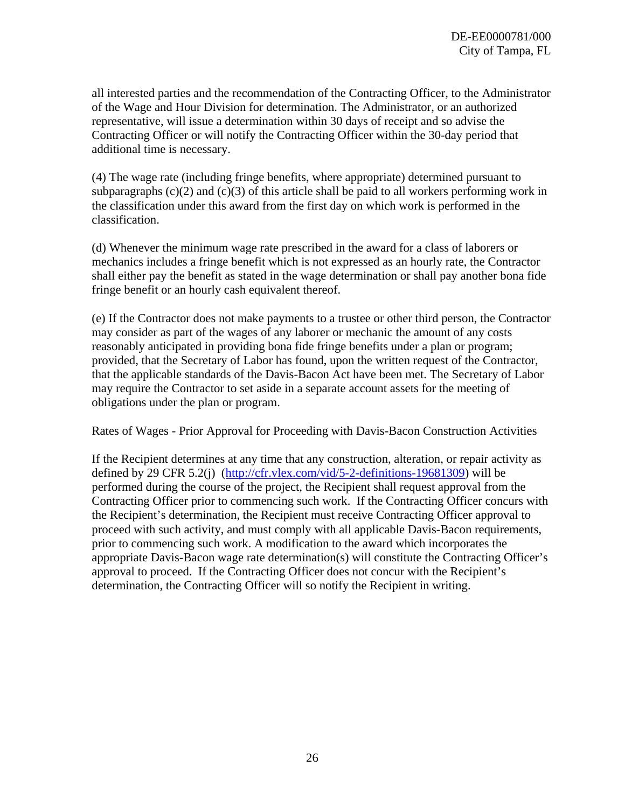all interested parties and the recommendation of the Contracting Officer, to the Administrator of the Wage and Hour Division for determination. The Administrator, or an authorized representative, will issue a determination within 30 days of receipt and so advise the Contracting Officer or will notify the Contracting Officer within the 30-day period that additional time is necessary.

(4) The wage rate (including fringe benefits, where appropriate) determined pursuant to subparagraphs  $(c)(2)$  and  $(c)(3)$  of this article shall be paid to all workers performing work in the classification under this award from the first day on which work is performed in the classification.

(d) Whenever the minimum wage rate prescribed in the award for a class of laborers or mechanics includes a fringe benefit which is not expressed as an hourly rate, the Contractor shall either pay the benefit as stated in the wage determination or shall pay another bona fide fringe benefit or an hourly cash equivalent thereof.

(e) If the Contractor does not make payments to a trustee or other third person, the Contractor may consider as part of the wages of any laborer or mechanic the amount of any costs reasonably anticipated in providing bona fide fringe benefits under a plan or program; provided, that the Secretary of Labor has found, upon the written request of the Contractor, that the applicable standards of the Davis-Bacon Act have been met. The Secretary of Labor may require the Contractor to set aside in a separate account assets for the meeting of obligations under the plan or program.

Rates of Wages - Prior Approval for Proceeding with Davis-Bacon Construction Activities

If the Recipient determines at any time that any construction, alteration, or repair activity as defined by 29 CFR 5.2(j) (http://cfr.vlex.com/vid/5-2-definitions-19681309) will be performed during the course of the project, the Recipient shall request approval from the Contracting Officer prior to commencing such work. If the Contracting Officer concurs with the Recipient's determination, the Recipient must receive Contracting Officer approval to proceed with such activity, and must comply with all applicable Davis-Bacon requirements, prior to commencing such work. A modification to the award which incorporates the appropriate Davis-Bacon wage rate determination(s) will constitute the Contracting Officer's approval to proceed. If the Contracting Officer does not concur with the Recipient's determination, the Contracting Officer will so notify the Recipient in writing.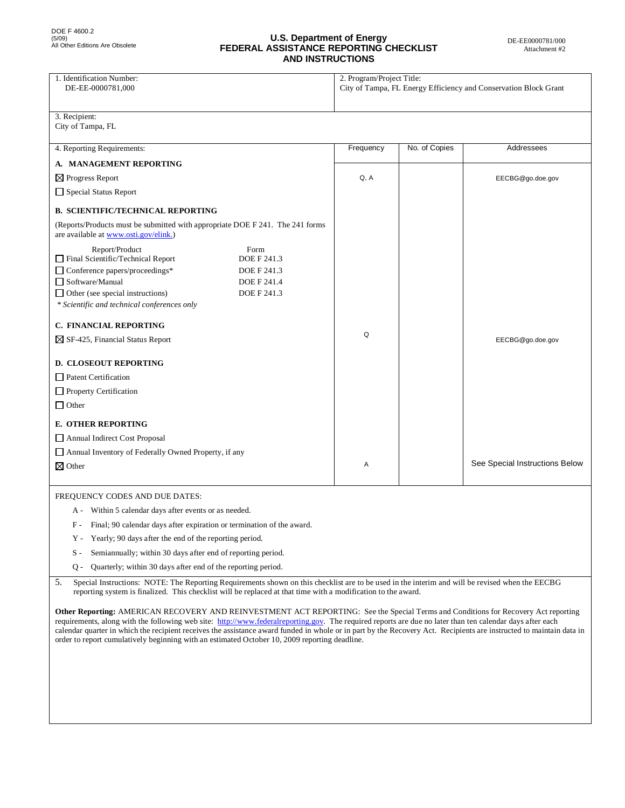#### **DOE F 4600.2**<br>(5/09) **U.S. Department of Energy DE-EE0000781/000 All Other Editions Are Obsolet Cheffers** CLS. Department of Energy<br>Attachment #2 Attachment #2 **AND INSTRUCTIONS**

See Special Instructions Below

| <b>AND INSTRUCTIONS</b>                                                                                                                                                                                                                |                                                                                               |               |                  |  |
|----------------------------------------------------------------------------------------------------------------------------------------------------------------------------------------------------------------------------------------|-----------------------------------------------------------------------------------------------|---------------|------------------|--|
| 1. Identification Number:<br>DE-EE-0000781,000                                                                                                                                                                                         | 2. Program/Project Title:<br>City of Tampa, FL Energy Efficiency and Conservation Block Grant |               |                  |  |
| 3. Recipient:<br>City of Tampa, FL                                                                                                                                                                                                     |                                                                                               |               |                  |  |
| 4. Reporting Requirements:                                                                                                                                                                                                             | Frequency                                                                                     | No. of Copies | Addressees       |  |
| A. MANAGEMENT REPORTING                                                                                                                                                                                                                |                                                                                               |               |                  |  |
| ⊠ Progress Report                                                                                                                                                                                                                      | Q, A                                                                                          |               | EECBG@go.doe.gov |  |
| $\Box$ Special Status Report                                                                                                                                                                                                           |                                                                                               |               |                  |  |
| <b>B. SCIENTIFIC/TECHNICAL REPORTING</b>                                                                                                                                                                                               |                                                                                               |               |                  |  |
| (Reports/Products must be submitted with appropriate DOE F 241. The 241 forms<br>are available at www.osti.gov/elink.)                                                                                                                 |                                                                                               |               |                  |  |
| Report/Product<br>Form<br>Final Scientific/Technical Report<br>DOE F 241.3<br>□ Conference papers/proceedings*<br>DOE F 241.3<br>$\Box$ Software/Manual<br><b>DOEF 241.4</b><br>$\Box$ Other (see special instructions)<br>DOE F 241.3 |                                                                                               |               |                  |  |
| * Scientific and technical conferences only                                                                                                                                                                                            |                                                                                               |               |                  |  |
| <b>C. FINANCIAL REPORTING</b><br>$\boxtimes$ SF-425, Financial Status Report                                                                                                                                                           | Q                                                                                             |               | EECBG@go.doe.gov |  |
| <b>D. CLOSEOUT REPORTING</b>                                                                                                                                                                                                           |                                                                                               |               |                  |  |
| $\Box$ Patent Certification                                                                                                                                                                                                            |                                                                                               |               |                  |  |
| $\Box$ Property Certification                                                                                                                                                                                                          |                                                                                               |               |                  |  |
| $\Box$ Other                                                                                                                                                                                                                           |                                                                                               |               |                  |  |
| <b>E. OTHER REPORTING</b>                                                                                                                                                                                                              |                                                                                               |               |                  |  |
| Annual Indirect Cost Proposal                                                                                                                                                                                                          |                                                                                               |               |                  |  |
| Annual Inventory of Federally Owned Property, if any                                                                                                                                                                                   |                                                                                               |               |                  |  |

#### FREQUENCY CODES AND DUE DATES:

Other

- A Within 5 calendar days after events or as needed.
- F Final; 90 calendar days after expiration or termination of the award.
- Y Yearly; 90 days after the end of the reporting period.
- S Semiannually; within 30 days after end of reporting period.
- Q Quarterly; within 30 days after end of the reporting period.

 5. Special Instructions: NOTE: The Reporting Requirements shown on this checklist are to be used in the interim and will be revised when the EECBG reporting system is finalized. This checklist will be replaced at that time with a modification to the award.

 **Other Reporting:** AMERICAN RECOVERY AND REINVESTMENT ACT REPORTING: See the Special Terms and Conditions for Recovery Act reporting requirements, along with the following web site: http://www.federalreporting.gov. The required reports are due no later than ten calendar days after each calendar quarter in which the recipient receives the assistance award funded in whole or in part by the Recovery Act. Recipients are instructed to maintain data in order to report cumulatively beginning with an estimated October 10, 2009 reporting deadline.

A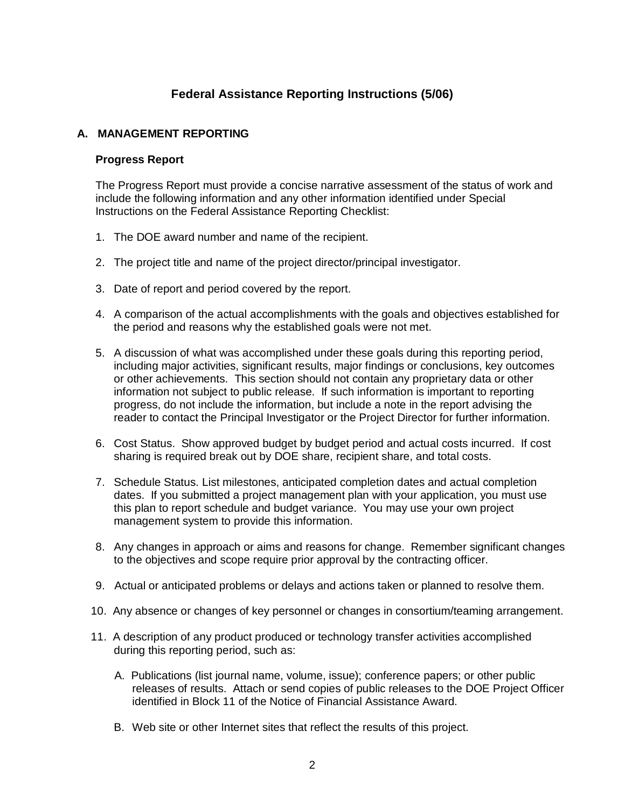## **Federal Assistance Reporting Instructions (5/06)**

#### **A. MANAGEMENT REPORTING**

#### **Progress Report**

 The Progress Report must provide a concise narrative assessment of the status of work and include the following information and any other information identified under Special Instructions on the Federal Assistance Reporting Checklist:

- 1. The DOE award number and name of the recipient.
- 2. The project title and name of the project director/principal investigator.
- 3. Date of report and period covered by the report.
- 4. A comparison of the actual accomplishments with the goals and objectives established for the period and reasons why the established goals were not met.
- 5. A discussion of what was accomplished under these goals during this reporting period, including major activities, significant results, major findings or conclusions, key outcomes or other achievements. This section should not contain any proprietary data or other information not subject to public release. If such information is important to reporting progress, do not include the information, but include a note in the report advising the reader to contact the Principal Investigator or the Project Director for further information.
- 6. Cost Status. Show approved budget by budget period and actual costs incurred. If cost sharing is required break out by DOE share, recipient share, and total costs.
- 7. Schedule Status. List milestones, anticipated completion dates and actual completion dates. If you submitted a project management plan with your application, you must use this plan to report schedule and budget variance. You may use your own project management system to provide this information.
- 8. Any changes in approach or aims and reasons for change. Remember significant changes to the objectives and scope require prior approval by the contracting officer.
- 9. Actual or anticipated problems or delays and actions taken or planned to resolve them.
- 10. Any absence or changes of key personnel or changes in consortium/teaming arrangement.
- 11. A description of any product produced or technology transfer activities accomplished during this reporting period, such as:
	- releases of results. Attach or send copies of public releases to the DOE Project Officer identified in Block 11 of the Notice of Financial Assistance Award. A. Publications (list journal name, volume, issue); conference papers; or other public
	- B. Web site or other Internet sites that reflect the results of this project.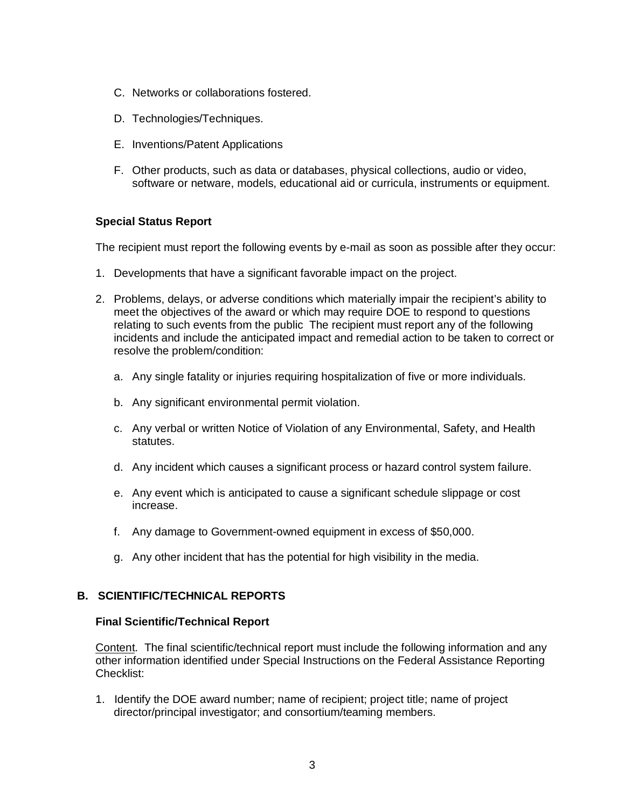- C. Networks or collaborations fostered.
- D. Technologies/Techniques.
- E. Inventions/Patent Applications
- F. Other products, such as data or databases, physical collections, audio or video, software or netware, models, educational aid or curricula, instruments or equipment.

#### **Special Status Report**

The recipient must report the following events by e-mail as soon as possible after they occur:

- 1. Developments that have a significant favorable impact on the project.
- 2. Problems, delays, or adverse conditions which materially impair the recipient's ability to meet the objectives of the award or which may require DOE to respond to questions relating to such events from the public The recipient must report any of the following incidents and include the anticipated impact and remedial action to be taken to correct or resolve the problem/condition:
	- a. Any single fatality or injuries requiring hospitalization of five or more individuals.
	- b. Any significant environmental permit violation.
	- c. Any verbal or written Notice of Violation of any Environmental, Safety, and Health statutes.
	- d. Any incident which causes a significant process or hazard control system failure.
	- e. Any event which is anticipated to cause a significant schedule slippage or cost increase.
	- increase. f. Any damage to Government-owned equipment in excess of \$50,000.
	- g. Any other incident that has the potential for high visibility in the media.

#### **B. SCIENTIFIC/TECHNICAL REPORTS**

#### **Final Scientific/Technical Report**

Content. The final scientific/technical report must include the following information and any other information identified under Special Instructions on the Federal Assistance Reporting Checklist:

 1. Identify the DOE award number; name of recipient; project title; name of project director/principal investigator; and consortium/teaming members.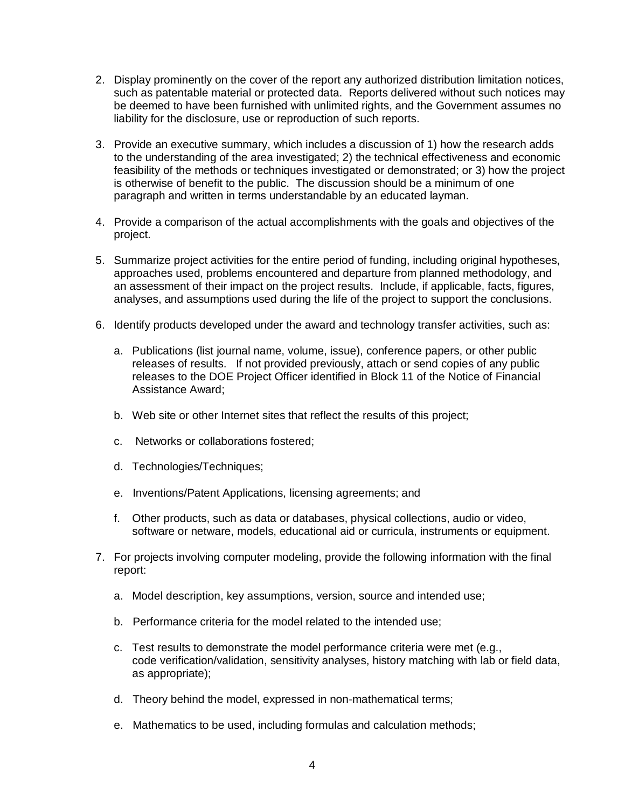- 2. Display prominently on the cover of the report any authorized distribution limitation notices, such as patentable material or protected data. Reports delivered without such notices may be deemed to have been furnished with unlimited rights, and the Government assumes no liability for the disclosure, use or reproduction of such reports.
- 3. Provide an executive summary, which includes a discussion of 1) how the research adds to the understanding of the area investigated; 2) the technical effectiveness and economic feasibility of the methods or techniques investigated or demonstrated; or 3) how the project is otherwise of benefit to the public. The discussion should be a minimum of one paragraph and written in terms understandable by an educated layman.
- 4. Provide a comparison of the actual accomplishments with the goals and objectives of the project.
- 5. Summarize project activities for the entire period of funding, including original hypotheses, approaches used, problems encountered and departure from planned methodology, and an assessment of their impact on the project results. Include, if applicable, facts, figures, analyses, and assumptions used during the life of the project to support the conclusions.
- 6. Identify products developed under the award and technology transfer activities, such as:
	- a. Publications (list journal name, volume, issue), conference papers, or other public releases of results. If not provided previously, attach or send copies of any public Assistance Award; releases to the DOE Project Officer identified in Block 11 of the Notice of Financial
	- b. Web site or other Internet sites that reflect the results of this project;
	- c. Networks or collaborations fostered;
	- d. Technologies/Techniques;
	- e. Inventions/Patent Applications, licensing agreements; and
	- f. Other products, such as data or databases, physical collections, audio or video, software or netware, models, educational aid or curricula, instruments or equipment.
- 7. For projects involving computer modeling, provide the following information with the final report:
	- a. Model description, key assumptions, version, source and intended use;
	- b. Performance criteria for the model related to the intended use;
	- c. Test results to demonstrate the model performance criteria were met (e.g., code verification/validation, sensitivity analyses, history matching with lab or field data, as appropriate);
	- d. Theory behind the model, expressed in non-mathematical terms;
	- e. Mathematics to be used, including formulas and calculation methods;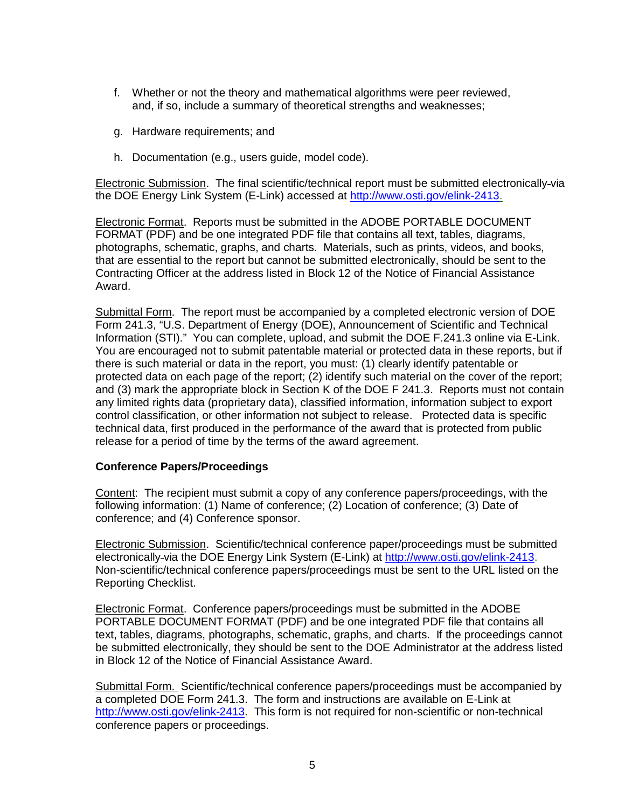- f. Whether or not the theory and mathematical algorithms were peer reviewed, and, if so, include a summary of theoretical strengths and weaknesses;
- g. Hardware requirements; and
- h. Documentation (e.g., users guide, model code).

Electronic Submission. The final scientific/technical report must be submitted electronically-via the DOE Energy Link System (E-Link) accessed at http://www.osti.gov/elink-2413.

 Electronic Format. Reports must be submitted in the ADOBE PORTABLE DOCUMENT FORMAT (PDF) and be one integrated PDF file that contains all text, tables, diagrams, photographs, schematic, graphs, and charts. Materials, such as prints, videos, and books, that are essential to the report but cannot be submitted electronically, should be sent to the Contracting Officer at the address listed in Block 12 of the Notice of Financial Assistance Award.

Submittal Form. The report must be accompanied by a completed electronic version of DOE Form 241.3, "U.S. Department of Energy (DOE), Announcement of Scientific and Technical Information (STI)." You can complete, upload, and submit the DOE F.241.3 online via E-Link. You are encouraged not to submit patentable material or protected data in these reports, but if there is such material or data in the report, you must: (1) clearly identify patentable or protected data on each page of the report; (2) identify such material on the cover of the report; and (3) mark the appropriate block in Section K of the DOE F 241.3. Reports must not contain any limited rights data (proprietary data), classified information, information subject to export control classification, or other information not subject to release. Protected data is specific technical data, first produced in the performance of the award that is protected from public release for a period of time by the terms of the award agreement.

#### **Conference Papers/Proceedings**

 Content: The recipient must submit a copy of any conference papers/proceedings, with the following information: (1) Name of conference; (2) Location of conference; (3) Date of conference; and (4) Conference sponsor.

 Electronic Submission. Scientific/technical conference paper/proceedings must be submitted electronically-via the DOE Energy Link System (E-Link) at http://www.osti.gov/elink-2413. Non-scientific/technical conference papers/proceedings must be sent to the URL listed on the Reporting Checklist.

 Electronic Format. Conference papers/proceedings must be submitted in the ADOBE PORTABLE DOCUMENT FORMAT (PDF) and be one integrated PDF file that contains all text, tables, diagrams, photographs, schematic, graphs, and charts. If the proceedings cannot be submitted electronically, they should be sent to the DOE Administrator at the address listed in Block 12 of the Notice of Financial Assistance Award.

Submittal Form. Scientific/technical conference papers/proceedings must be accompanied by a completed DOE Form 241.3. The form and instructions are available on E-Link at http://www.osti.gov/elink-2413. This form is not required for non-scientific or non-technical conference papers or proceedings.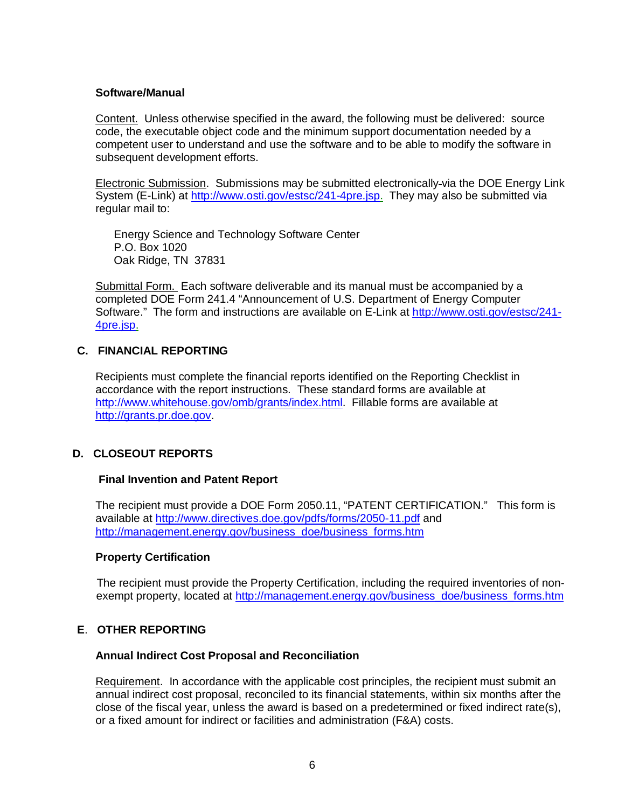#### **Software/Manual**

 Content. Unless otherwise specified in the award, the following must be delivered: source code, the executable object code and the minimum support documentation needed by a competent user to understand and use the software and to be able to modify the software in subsequent development efforts.

Electronic Submission. Submissions may be submitted electronically-via the DOE Energy Link System (E-Link) at http://www.osti.gov/estsc/241-4pre.jsp. They may also be submitted via regular mail to:

 Energy Science and Technology Software Center P.O. Box 1020 Oak Ridge, TN 37831

Submittal Form. Each software deliverable and its manual must be accompanied by a completed DOE Form 241.4 "Announcement of U.S. Department of Energy Computer Software." The form and instructions are available on E-Link at http://www.osti.gov/estsc/241-4pre.jsp.

#### **C. FINANCIAL REPORTING**

 Recipients must complete the financial reports identified on the Reporting Checklist in accordance with the report instructions. These standard forms are available at http://www.whitehouse.gov/omb/grants/index.html. Fillable forms are available at http://grants.pr.doe.gov.

#### **D. CLOSEOUT REPORTS**

#### **Final Invention and Patent Report**

 The recipient must provide a DOE Form 2050.11, "PATENT CERTIFICATION." This form is available at http://www.directives.doe.gov/pdfs/forms/2050-11.pdf and http://management.energy.gov/business\_doe/business\_forms.htm

#### **Property Certification**

exempt property, located at http://management.energy.gov/business\_doe/business\_forms.htm The recipient must provide the Property Certification, including the required inventories of non-

#### **E**. **OTHER REPORTING**

#### **Annual Indirect Cost Proposal and Reconciliation**

Requirement. In accordance with the applicable cost principles, the recipient must submit an annual indirect cost proposal, reconciled to its financial statements, within six months after the close of the fiscal year, unless the award is based on a predetermined or fixed indirect rate(s), or a fixed amount for indirect or facilities and administration (F&A) costs.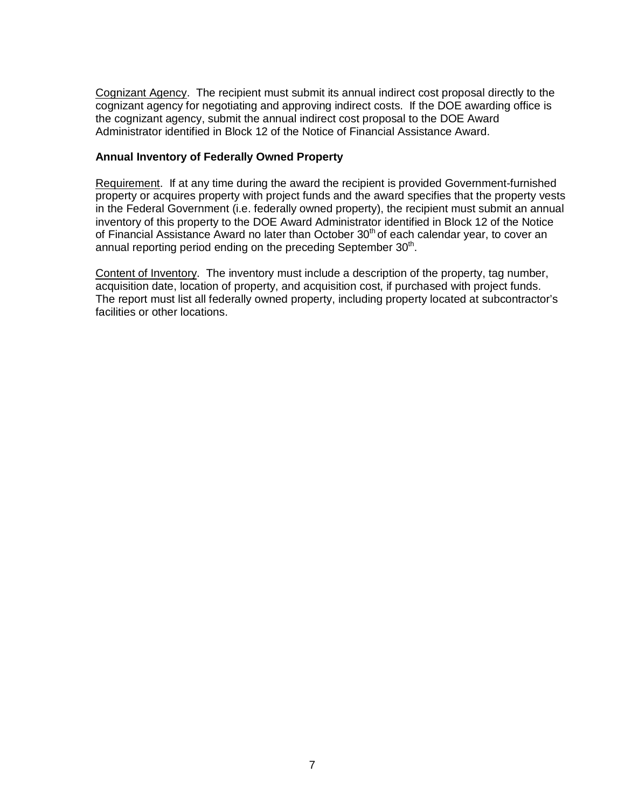Cognizant Agency. The recipient must submit its annual indirect cost proposal directly to the cognizant agency for negotiating and approving indirect costs. If the DOE awarding office is the cognizant agency, submit the annual indirect cost proposal to the DOE Award Administrator identified in Block 12 of the Notice of Financial Assistance Award.

#### **Annual Inventory of Federally Owned Property**

Requirement. If at any time during the award the recipient is provided Government-furnished property or acquires property with project funds and the award specifies that the property vests in the Federal Government (i.e. federally owned property), the recipient must submit an annual inventory of this property to the DOE Award Administrator identified in Block 12 of the Notice of Financial Assistance Award no later than October 30<sup>th</sup> of each calendar year, to cover an annual reporting period ending on the preceding September  $30<sup>th</sup>$ .

Content of Inventory. The inventory must include a description of the property, tag number, acquisition date, location of property, and acquisition cost, if purchased with project funds. The report must list all federally owned property, including property located at subcontractor's facilities or other locations.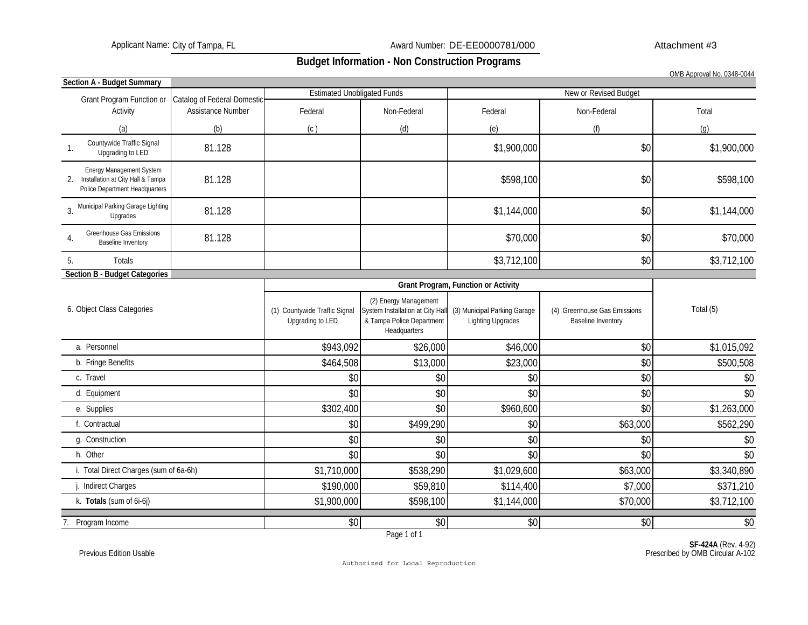| a. Personnel                           | \$943,092   | \$26,000                                         | \$46,000    | \$0      | \$1,015,092                                             |
|----------------------------------------|-------------|--------------------------------------------------|-------------|----------|---------------------------------------------------------|
| b. Fringe Benefits                     | \$464,508   | \$13,000                                         | \$23,000    | \$0      | \$500,508                                               |
| c. Travel                              | \$0         | \$0                                              | \$0         | \$0      | \$0                                                     |
| d. Equipment                           | \$0         | \$0                                              | \$0         | \$0      | \$0                                                     |
| e. Supplies                            | \$302,400   | \$0                                              | \$960,600   | \$0      | \$1,263,000                                             |
| f. Contractual                         | \$0         | \$499,290                                        | \$0         | \$63,000 | \$562,290                                               |
| q. Construction                        | \$0         | \$0                                              | \$0         | \$0      | \$0                                                     |
| h. Other                               | \$0         | \$0                                              | \$0         | \$0      | \$0                                                     |
| i. Total Direct Charges (sum of 6a-6h) | \$1,710,000 | \$538,290                                        | \$1,029,600 | \$63,000 | \$3,340,890                                             |
| <b>Indirect Charges</b>                | \$190,000   | \$59,810                                         | \$114,400   | \$7,000  | \$371,210                                               |
| k. Totals (sum of 6i-6j)               | \$1,900,000 | \$598,100                                        | \$1,144,000 | \$70,000 | \$3,712,100                                             |
| Program Income                         | \$0         | \$0                                              | \$0         | \$0      | \$0                                                     |
| Previous Edition Usable                |             | Page 1 of 1<br>Authorized for Local Reproduction |             |          | SF-424A (Rev. 4-92)<br>Prescribed by OMB Circular A-102 |

**Budget Information - Non Construction Programs** 

Federal (c )

Upgrading to LED

OMB Approval No. 0348-0044

Total (g)

# Applicant Name: City of Tampa, FL **Award Number: DE-EE0000781/000** Attachment #3

Non-Federal (d)

1. Countywide Traffic Signal | 81.128 | 81.128 | 81.900,000 \$1,900,000 \$1,900,000 \$1,900,000 \$1,900,000 \$1,900,000

3. Municipal Parking Garage Lighting | 81.128 81.128 \$1,144,000 \$1,144,000 \$1,144,000 \$1,144,000 \$1,144,000 \$1,144,000

4. Greenhouse Gas Emissions (and Baseline Inventory 1990), 1990 (and States and States and States and States States and States and States States are States and States and States are States and States and States are States

5. Totals | \$3,712,100 \$2,712,100 \$3,712,100 \$3,712,100 \$3,712,100 \$3,712,100 \$3,712,100 \$3,712,100

(2) Energy Management & Tampa Police Department .<br>Headquarters

Estimated Unobligated Funds New or Revised Budget

81.128 \$598,100 \$0 \$598,100

(1) Countywide Traffic Signal System Installation at City Hall (3) Municipal Parking Garage (4) Greenhouse Gas Emissions Total (5)

(3) Municipal Parking Garage Lighting Upgrades

**Grant Program, Function or Activity** 

Federal (e)

Non-Federal (f)

(4) Greenhouse Gas Emissions Baseline Inventory

(b)

Catalog of Federal Domesti Assistance Number

**Section A - Budget Summary** 

(a)

2. Installation at City Hall & Tampa Energy Management System Police Department Headquarters

**Section B - Budget Categories** 

6. Object Class Categories

Grant Program Function or Activity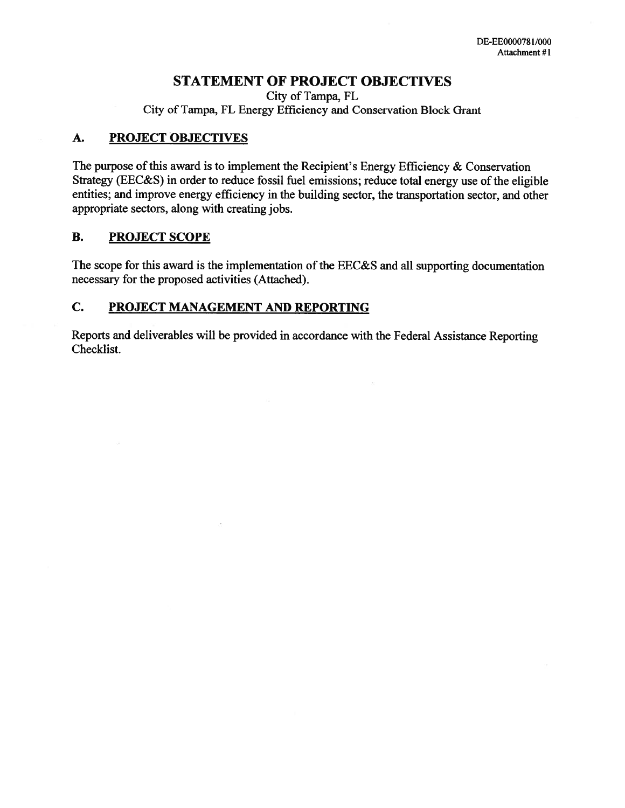#### **STATEMENT OF PROJECT OBJECTIVES**

City of Tampa, FL City of Tampa, FL Energy Efficiency and Conservation Block Grant

#### A. **PROJECT OBJECTIVES**

The purpose of this award is to implement the Recipient's Energy Efficiency  $\&$  Conservation Strategy (EEC&S) in order to reduce fossil fuel emissions; reduce total energy use of the eligible entities; and improve energy efficiency in the building sector, the transportation sector, and other appropriate sectors, along with creating jobs.

#### **B. PROJECT SCOPE**

The scope for this award is the implementation of the EEC&S and all supporting documentation necessary for the proposed activities (Attached).

#### $C_{\bullet}$ PROJECT MANAGEMENT AND REPORTING

Reports and deliverables will be provided in accordance with the Federal Assistance Reporting Checklist.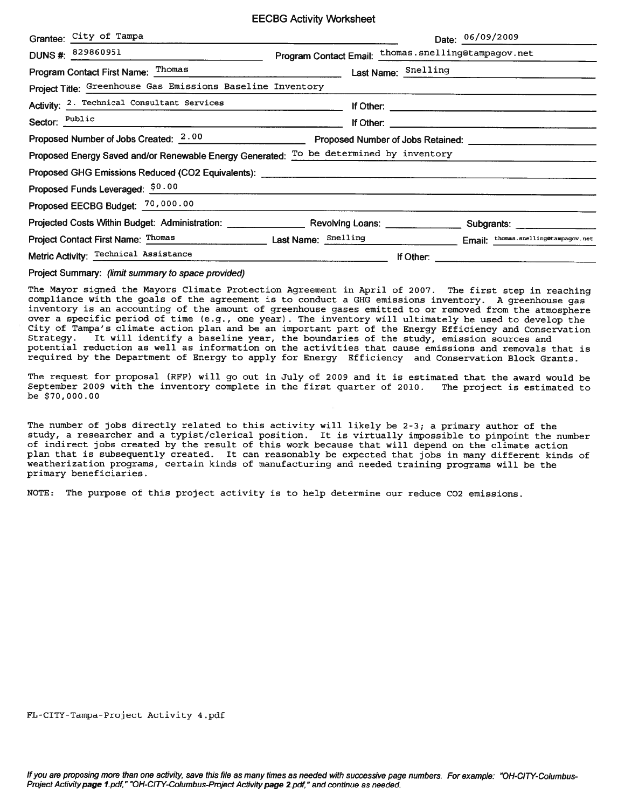| Grantee: City of Tampa                                                                                                                                                                                                          |                                                     | Date: 06/09/2009                    |
|---------------------------------------------------------------------------------------------------------------------------------------------------------------------------------------------------------------------------------|-----------------------------------------------------|-------------------------------------|
| DUNS #: $\frac{829860951}{}$                                                                                                                                                                                                    | Program Contact Email: thomas.snelling@tampagov.net |                                     |
| Program Contact First Name: Thomas Last Name: Snelling                                                                                                                                                                          |                                                     |                                     |
| Project Title: Greenhouse Gas Emissions Baseline Inventory                                                                                                                                                                      |                                                     |                                     |
| Activity: 2. Technical Consultant Services                                                                                                                                                                                      |                                                     |                                     |
| Sector: Public experience of the section of the section of the section of the section of the section of the section of the section of the section of the section of the section of the section of the section of the section o  |                                                     | If Other:                           |
| Proposed Number of Jobs Created: 2.00                                                                                                                                                                                           |                                                     | Proposed Number of Jobs Retained:   |
| Proposed Energy Saved and/or Renewable Energy Generated: To be determined by inventory                                                                                                                                          |                                                     |                                     |
| Proposed GHG Emissions Reduced (CO2 Equivalents): _______________________________                                                                                                                                               |                                                     |                                     |
| Proposed Funds Leveraged: \$0.00 example and all the contract of the contract of the contract of the contract of the contract of the contract of the contract of the contract of the contract of the contract of the contract o |                                                     |                                     |
| Proposed EECBG Budget: 70,000.00                                                                                                                                                                                                |                                                     |                                     |
| Projected Costs Within Budget: Administration: Change Cost Revolving Loans: Change Costs Within Budget: Administration: Change Revolving Loans: Change Subgrants: Change Subgrants: Change Subgrants: Change Subgrants: Change  |                                                     |                                     |
| Project Contact First Name: Thomas Last Name: Snelling Last Name: Snelling                                                                                                                                                      |                                                     | Email: thomas.snelling@tampagov.net |
| Metric Activity: Technical Assistance                                                                                                                                                                                           | If Other:                                           |                                     |

#### Project Summary: (limit summary to space provided)

The Mayor signed the Mayors Climate Protection Agreement in April of 2007. The first step in reaching compliance with the goals of the agreement is to conduct a GHG emissions inventory. A greenhouse gas inventory is an accounting of the amount of greenhouse gases emitted to or removed from the atmosphere over a specific period of time (e.g., one year). The inventory will ultimately be used to develop the City of Tampa's climate action plan and be an important part of the Energy Efficiency and Conservation Strategy. It will identify a baseline year, the boundaries of the study, emission sources and potential reduction as well as information on the activities that cause emissions and removals that is required by the Department of Energy to apply for Energy Efficiency and Conservation Block Grants.

The request for proposal (RFP) will go out in July of 2009 and it is estimated that the award would be September 2009 with the inventory complete in the first quarter of 2010. The project is estimated to be \$70,000.00

The number of jobs directly related to this activity will likely be 2-3; a primary author of the<br>study, a researcher and a typist/clerical position. It is virtually impossible to pinpoint the number of indirect jobs created by the result of this work because that will depend on the climate action plan that is subsequently created. It can reasonably be expected that jobs in many different kinds of weatherization programs, certain kinds of manufacturing and needed training programs will be the primary beneficiaries.

NOTE: The purpose of this project activity is to help determine our reduce CO2 emissions.

FL-CITY-Tampa-Project Activity 4.pdf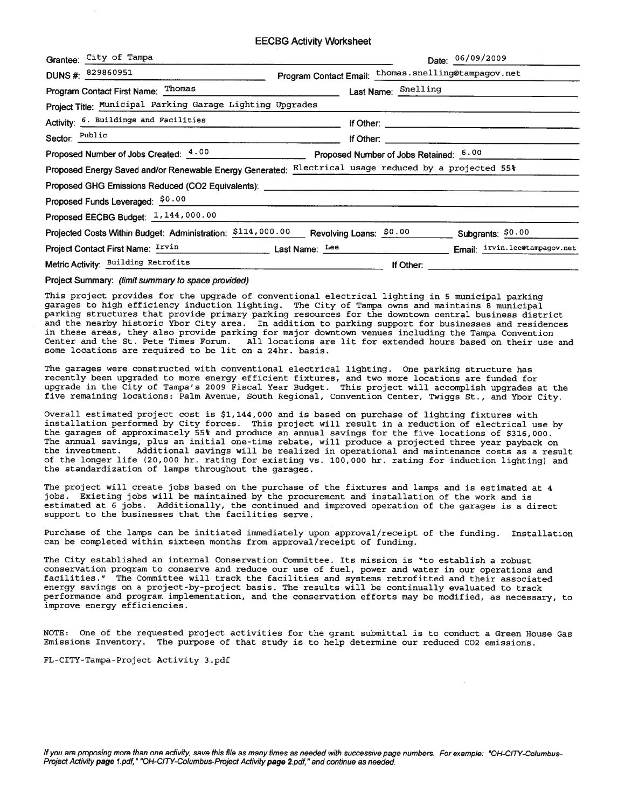| Grantee: City of Tampa                                                                                                                                                                                                           |                                                     |                                        | Date: 06/09/2009              |
|----------------------------------------------------------------------------------------------------------------------------------------------------------------------------------------------------------------------------------|-----------------------------------------------------|----------------------------------------|-------------------------------|
| DUNS #: 829860951                                                                                                                                                                                                                | Program Contact Email: thomas.snelling@tampagov.net |                                        |                               |
| Program Contact First Name: Thomas                                                                                                                                                                                               |                                                     | Last Name: Snelling                    |                               |
| Project Title: Municipal Parking Garage Lighting Upgrades                                                                                                                                                                        |                                                     |                                        |                               |
| Activity: <sup>6.</sup> Buildings and Facilities                                                                                                                                                                                 |                                                     |                                        | If Other: $\qquad \qquad$     |
| Sector: Public<br>expansion of the contract of the contract of the contract of the contract of the contract of the contract of the contract of the contract of the contract of the contract of the contract of the contract of t |                                                     |                                        |                               |
| Proposed Number of Jobs Created: 4.00                                                                                                                                                                                            |                                                     | Proposed Number of Jobs Retained: 6.00 |                               |
| Proposed Energy Saved and/or Renewable Energy Generated: Electrical usage reduced by a projected 55%                                                                                                                             |                                                     |                                        |                               |
| Proposed GHG Emissions Reduced (CO2 Equivalents): ______________________________                                                                                                                                                 |                                                     |                                        |                               |
| Proposed Funds Leveraged: \$0.00                                                                                                                                                                                                 |                                                     |                                        |                               |
| Proposed EECBG Budget: 1, 144, 000.00                                                                                                                                                                                            |                                                     |                                        |                               |
| Projected Costs Within Budget: Administration: \$114,000.00                                                                                                                                                                      | Revolving Loans: \$0.00                             |                                        | Subgrants: \$0.00             |
| Project Contact First Name: Irvin Last Name: Last Name: Lee                                                                                                                                                                      |                                                     |                                        | Email: irvin.lee@tampagov.net |
| Metric Activity: Building Retrofits                                                                                                                                                                                              |                                                     | If Other:                              |                               |

#### Project Summary: (limit summary to space provided)

This project provides for the upgrade of conventional electrical lighting in 5 municipal parking garages to high efficiency induction lighting. The City of Tampa owns and maintains 8 municipal parking structures that provide primary parking resources for the downtown central business district and the nearby historic Ybor City area. In addition to parking support for businesses and residences in these areas, they also provide parking for major downtown venues including the Tampa Convention Center and the St. Pete Times Forum. All locations are lit for extended hours based on their use and some locations are required to be lit on a 24hr. basis.

The garages were constructed with conventional electrical lighting. One parking structure has recently been upgraded to more energy efficient fixtures, and two more locations are funded for upgrade in the City of Tampa's 2009 Fiscal Year Budget. This project will accomplish upgrades at the five remaining locations: Palm Avenue, South Regional, Convention Center, Twiggs St., and Ybor City.

Overall estimated project cost is \$1,144,000 and is based on purchase of lighting fixtures with installation performed by City forces. This project will result in a reduction of electrical use by the garages of approximately 55% and produce an annual savings for the five locations of \$316,000. The annual savings, plus an initial one-time rebate, will produce a projected three year payback on the investment. Additional savings will be realized in operational and maintenance costs as a result of the longer life (20,000 hr. rating for existing vs. 100,000 hr. rating for induction lighting) and the standardization of lamps throughout the garages.

The project will create jobs based on the purchase of the fixtures and lamps and is estimated at 4 jobs. Existing jobs will be maintained by the procurement and installation of the work and is<br>estimated at 6 jobs. Additionally, the continued and improved operation of the garages is a direct support to the businesses that the facilities serve.

Purchase of the lamps can be initiated immediately upon approval/receipt of the funding. Installation can be completed within sixteen months from approval/receipt of funding.

The City established an internal Conservation Committee. Its mission is "to establish a robust conservation program to conserve and reduce our use of fuel, power and water in our operations and facilities." The Committee will track the facilities and systems retrofitted and their associated energy savings on a project-by-project basis. The results will be continually evaluated to track performance and program implementation, and the conservation efforts may be modified, as necessary, to improve energy efficiencies.

NOTE: One of the requested project activities for the grant submittal is to conduct a Green House Gas Emissions Inventory. The purpose of that study is to help determine our reduced CO2 emissions.

FL-CITY-Tampa-Project Activity 3.pdf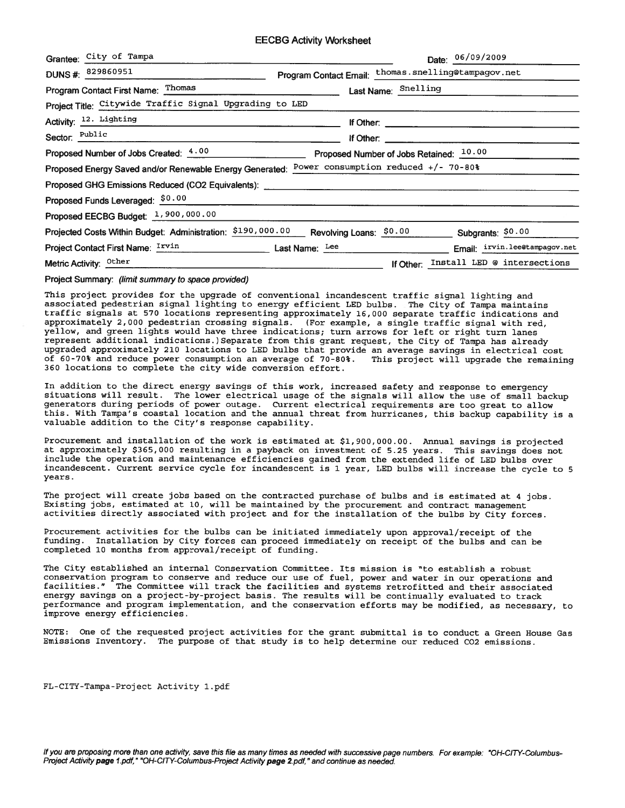| Grantee: City of Tampa                                                                                                                                                                                                         |                                                     |                                                                                                                                                                                                                                                                                                                                                                                                             | Date: 06/09/2009              |
|--------------------------------------------------------------------------------------------------------------------------------------------------------------------------------------------------------------------------------|-----------------------------------------------------|-------------------------------------------------------------------------------------------------------------------------------------------------------------------------------------------------------------------------------------------------------------------------------------------------------------------------------------------------------------------------------------------------------------|-------------------------------|
| DUNS #: $\frac{829860951}{}$                                                                                                                                                                                                   | Program Contact Email: thomas.snelling@tampagov.net |                                                                                                                                                                                                                                                                                                                                                                                                             |                               |
| Program Contact First Name: Thomas                                                                                                                                                                                             |                                                     | Last Name: Snelling                                                                                                                                                                                                                                                                                                                                                                                         |                               |
| Project Title: Citywide Traffic Signal Upgrading to LED                                                                                                                                                                        |                                                     |                                                                                                                                                                                                                                                                                                                                                                                                             |                               |
| Activity: 12. Lighting                                                                                                                                                                                                         |                                                     |                                                                                                                                                                                                                                                                                                                                                                                                             |                               |
| Sector: Public entrance and the section of the section of the section of the section of the section of the section of the section of the section of the section of the section of the section of the section of the section of |                                                     | If Other: $\frac{1}{\sqrt{1-\frac{1}{2}}\sqrt{1-\frac{1}{2}}\sqrt{1-\frac{1}{2}}\sqrt{1-\frac{1}{2}}\sqrt{1-\frac{1}{2}}\sqrt{1-\frac{1}{2}}\sqrt{1-\frac{1}{2}}\sqrt{1-\frac{1}{2}}\sqrt{1-\frac{1}{2}}\sqrt{1-\frac{1}{2}}\sqrt{1-\frac{1}{2}}\sqrt{1-\frac{1}{2}}\sqrt{1-\frac{1}{2}}\sqrt{1-\frac{1}{2}}\sqrt{1-\frac{1}{2}}\sqrt{1-\frac{1}{2}}\sqrt{1-\frac{1}{2}}\sqrt{1-\frac{1}{2}}\sqrt{1-\frac{$ |                               |
| Proposed Number of Jobs Created: 4.00                                                                                                                                                                                          | Proposed Number of Jobs Retained: 10.00             |                                                                                                                                                                                                                                                                                                                                                                                                             |                               |
| Proposed Energy Saved and/or Renewable Energy Generated: Power consumption reduced +/- 70-80%                                                                                                                                  |                                                     |                                                                                                                                                                                                                                                                                                                                                                                                             |                               |
| Proposed GHG Emissions Reduced (CO2 Equivalents): ______________________________                                                                                                                                               |                                                     |                                                                                                                                                                                                                                                                                                                                                                                                             |                               |
| Proposed Funds Leveraged: \$0.00                                                                                                                                                                                               |                                                     |                                                                                                                                                                                                                                                                                                                                                                                                             |                               |
| Proposed EECBG Budget: 1, 900, 000.00                                                                                                                                                                                          |                                                     |                                                                                                                                                                                                                                                                                                                                                                                                             |                               |
| Projected Costs Within Budget: Administration: \$190,000.00 Revolving Loans: \$0.00 Subgrants: \$0.00                                                                                                                          |                                                     |                                                                                                                                                                                                                                                                                                                                                                                                             |                               |
| Project Contact First Name: Irvin Last Name: Last Name: Lee                                                                                                                                                                    |                                                     |                                                                                                                                                                                                                                                                                                                                                                                                             | Email: irvin.lee@tampagov.net |
| Metric Activity: Other                                                                                                                                                                                                         |                                                     | If Other:                                                                                                                                                                                                                                                                                                                                                                                                   | Install LED @ intersections   |

#### Project Summary: (limit summary to space provided)

This project provides for the upgrade of conventional incandescent traffic signal lighting and associated pedestrian signal lighting to energy efficient LED bulbs. The City of Tampa maintains traffic signals at 570 locations representing approximately 16,000 separate traffic indications and approximately 2,000 pedestrian crossing signals. (For example, a single traffic signal with red, yellow, and green lights would have three indications; turn arrows for left or right turn lanes represent additional indications.) Separate from this grant request, the City of Tampa has already upgraded approximately 210 locations to LED bulbs that provide an average savings in electrical cost of 60-70% and reduce power consumption an average of 70-80%. This project will upgrade the remaining 360 locations to complete the city wide conversion effort.

In addition to the direct energy savings of this work, increased safety and response to emergency situations will result. The lower electrical usage of the signals will allow the use of small backup generators during periods of power outage. Current electrical requirements are too great to allow this. With Tampa's coastal location and the annual threat from hurricanes, this backup capability is a valuable addition to the City's response capability.

Procurement and installation of the work is estimated at \$1,900,000.00. Annual savings is projected at approximately \$365,000 resulting in a payback on investment of 5.25 years. This savings does not include the operation and maintenance efficiencies gained from the extended life of LED bulbs over incandescent. Current service cycle for incandescent is 1 year, LED bulbs will increase the cycle to 5 years.

The project will create jobs based on the contracted purchase of bulbs and is estimated at 4 jobs. Existing jobs, estimated at 10, will be maintained by the procurement and contract management activities directly associated with project and for the installation of the bulbs by City forces.

Procurement activities for the bulbs can be initiated immediately upon approval/receipt of the funding. Installation by City forces can proceed immediately on receipt of the bulbs and can be completed 10 months from approval/receipt of funding.

The City established an internal Conservation Committee. Its mission is "to establish a robust conservation program to conserve and reduce our use of fuel, power and water in our operations and facilities." The Committee will track the facilities and systems retrofitted and their associated energy savings on a project-by-project basis. The results will be continually evaluated to track performance and program implementation, and the conservation efforts may be modified, as necessary, to improve energy efficiencies.

NOTE: One of the requested project activities for the grant submittal is to conduct a Green House Gas Emissions Inventory. The purpose of that study is to help determine our reduced CO2 emissions.

FL-CITY-Tampa-Project Activity 1.pdf